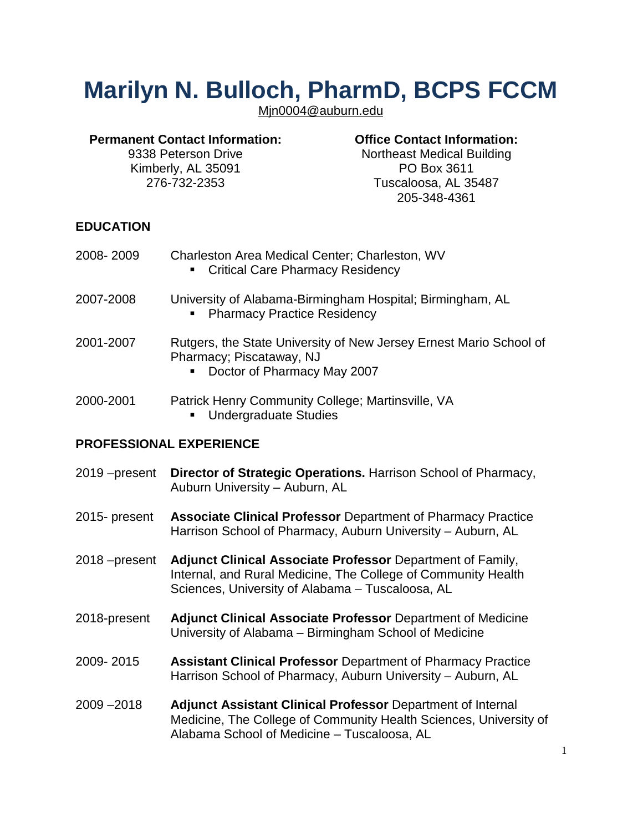# **Marilyn N. Bulloch, PharmD, BCPS FCCM**

Mjn0004@auburn.edu

#### **Permanent Contact Information:** 9338 Peterson Drive Kimberly, AL 35091 276-732-2353

# **Office Contact Information:**

Northeast Medical Building PO Box 3611 Tuscaloosa, AL 35487 205-348-4361

# **EDUCATION**

| 2008- 2009 | Charleston Area Medical Center; Charleston, WV |
|------------|------------------------------------------------|
|            | • Critical Care Pharmacy Residency             |
|            |                                                |

- 2007-2008 University of Alabama-Birmingham Hospital; Birmingham, AL **Pharmacy Practice Residency**
- 2001-2007 Rutgers, the State University of New Jersey Ernest Mario School of Pharmacy; Piscataway, NJ
	- Doctor of Pharmacy May 2007
- 2000-2001 Patrick Henry Community College; Martinsville, VA **Undergraduate Studies**

# **PROFESSIONAL EXPERIENCE**

| 2019 – present <b>Director of Strategic Operations.</b> Harrison School of Pharmacy, |
|--------------------------------------------------------------------------------------|
| Auburn University - Auburn, AL                                                       |
|                                                                                      |

- 2015- present **Associate Clinical Professor** Department of Pharmacy Practice Harrison School of Pharmacy, Auburn University – Auburn, AL
- 2018 –present **Adjunct Clinical Associate Professor** Department of Family, Internal, and Rural Medicine, The College of Community Health Sciences, University of Alabama – Tuscaloosa, AL
- 2018-present **Adjunct Clinical Associate Professor** Department of Medicine University of Alabama – Birmingham School of Medicine
- 2009- 2015 **Assistant Clinical Professor** Department of Pharmacy Practice Harrison School of Pharmacy, Auburn University – Auburn, AL
- 2009 –2018 **Adjunct Assistant Clinical Professor** Department of Internal Medicine, The College of Community Health Sciences, University of Alabama School of Medicine – Tuscaloosa, AL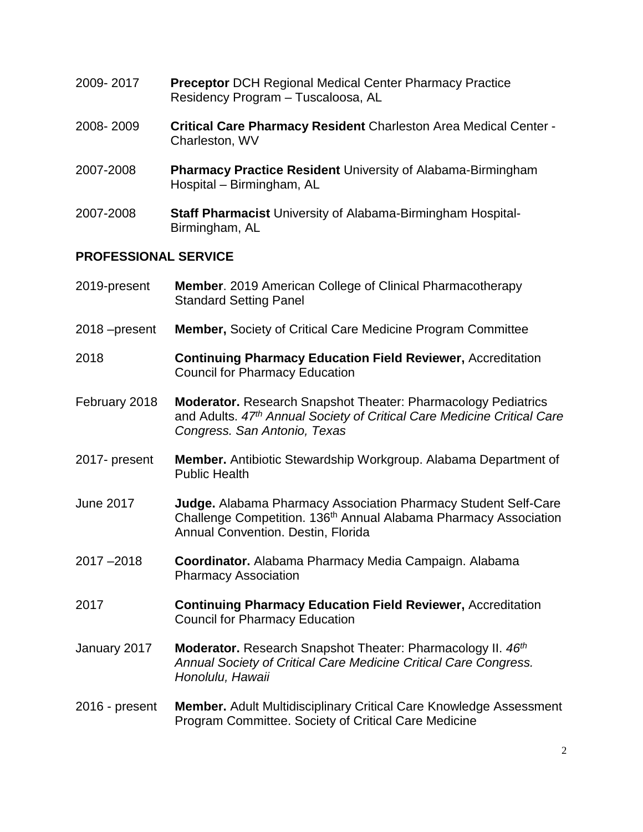- 2009- 2017 **Preceptor** DCH Regional Medical Center Pharmacy Practice Residency Program – Tuscaloosa, AL
- 2008- 2009 **Critical Care Pharmacy Resident** Charleston Area Medical Center Charleston, WV
- 2007-2008 **Pharmacy Practice Resident** University of Alabama-Birmingham Hospital – Birmingham, AL
- 2007-2008 **Staff Pharmacist** University of Alabama-Birmingham Hospital-Birmingham, AL

## **PROFESSIONAL SERVICE**

- 2019-present **Member**. 2019 American College of Clinical Pharmacotherapy Standard Setting Panel
- 2018 –present **Member,** Society of Critical Care Medicine Program Committee
- 2018 **Continuing Pharmacy Education Field Reviewer,** Accreditation Council for Pharmacy Education
- February 2018 **Moderator.** Research Snapshot Theater: Pharmacology Pediatrics and Adults. *47th Annual Society of Critical Care Medicine Critical Care Congress. San Antonio, Texas*
- 2017- present **Member.** Antibiotic Stewardship Workgroup. Alabama Department of Public Health
- June 2017 **Judge.** Alabama Pharmacy Association Pharmacy Student Self-Care Challenge Competition. 136<sup>th</sup> Annual Alabama Pharmacy Association Annual Convention. Destin, Florida
- 2017 –2018 **Coordinator.** Alabama Pharmacy Media Campaign. Alabama Pharmacy Association
- 2017 **Continuing Pharmacy Education Field Reviewer,** Accreditation Council for Pharmacy Education
- January 2017 **Moderator.** Research Snapshot Theater: Pharmacology II. *46th Annual Society of Critical Care Medicine Critical Care Congress. Honolulu, Hawaii*
- 2016 present **Member.** Adult Multidisciplinary Critical Care Knowledge Assessment Program Committee. Society of Critical Care Medicine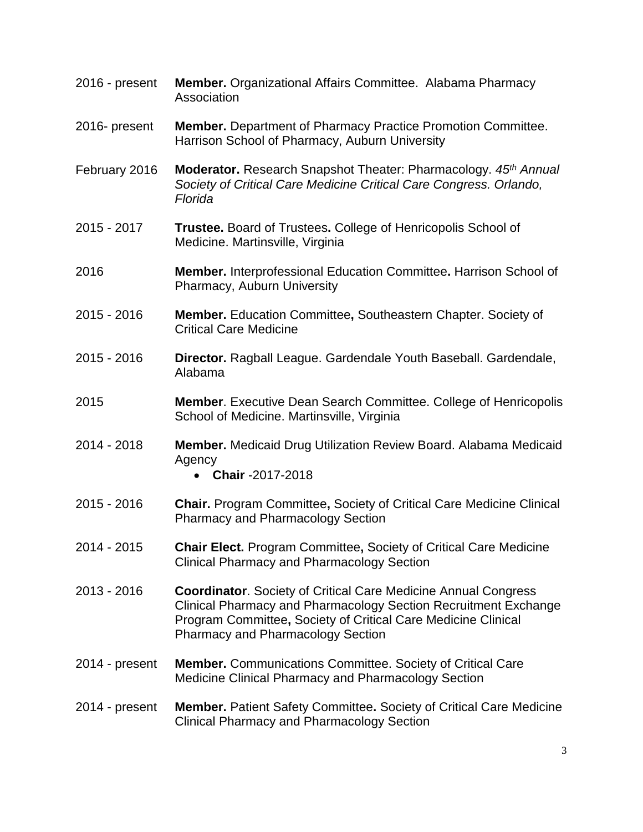- 2016 present **Member.** Organizational Affairs Committee. Alabama Pharmacy Association
- 2016- present **Member.** Department of Pharmacy Practice Promotion Committee. Harrison School of Pharmacy, Auburn University
- February 2016 **Moderator.** Research Snapshot Theater: Pharmacology. *45th Annual Society of Critical Care Medicine Critical Care Congress. Orlando, Florida*
- 2015 2017 **Trustee.** Board of Trustees**.** College of Henricopolis School of Medicine. Martinsville, Virginia
- 2016 **Member.** Interprofessional Education Committee**.** Harrison School of Pharmacy, Auburn University
- 2015 2016 **Member.** Education Committee**,** Southeastern Chapter. Society of Critical Care Medicine
- 2015 2016 **Director.** Ragball League. Gardendale Youth Baseball. Gardendale, Alabama
- 2015 **Member**. Executive Dean Search Committee. College of Henricopolis School of Medicine. Martinsville, Virginia
- 2014 2018 **Member.** Medicaid Drug Utilization Review Board. Alabama Medicaid Agency
	- **Chair** -2017-2018
- 2015 2016 **Chair.** Program Committee**,** Society of Critical Care Medicine Clinical Pharmacy and Pharmacology Section
- 2014 2015 **Chair Elect.** Program Committee**,** Society of Critical Care Medicine Clinical Pharmacy and Pharmacology Section
- 2013 2016 **Coordinator**. Society of Critical Care Medicine Annual Congress Clinical Pharmacy and Pharmacology Section Recruitment Exchange Program Committee**,** Society of Critical Care Medicine Clinical Pharmacy and Pharmacology Section
- 2014 present **Member.** Communications Committee. Society of Critical Care Medicine Clinical Pharmacy and Pharmacology Section

## 2014 - present **Member.** Patient Safety Committee**.** Society of Critical Care Medicine Clinical Pharmacy and Pharmacology Section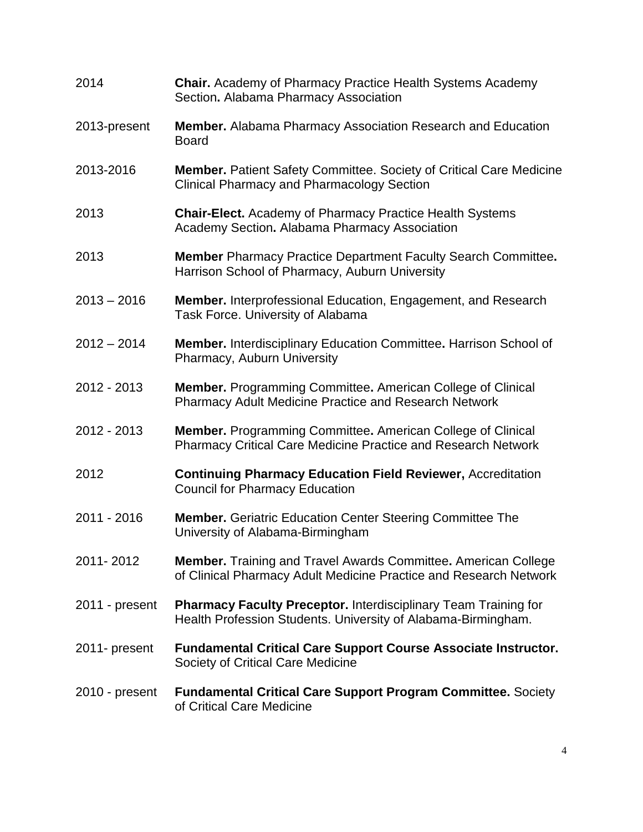| 2014           | <b>Chair.</b> Academy of Pharmacy Practice Health Systems Academy<br>Section. Alabama Pharmacy Association                                 |
|----------------|--------------------------------------------------------------------------------------------------------------------------------------------|
| 2013-present   | Member. Alabama Pharmacy Association Research and Education<br><b>Board</b>                                                                |
| 2013-2016      | <b>Member.</b> Patient Safety Committee. Society of Critical Care Medicine<br><b>Clinical Pharmacy and Pharmacology Section</b>            |
| 2013           | <b>Chair-Elect.</b> Academy of Pharmacy Practice Health Systems<br>Academy Section. Alabama Pharmacy Association                           |
| 2013           | <b>Member</b> Pharmacy Practice Department Faculty Search Committee.<br>Harrison School of Pharmacy, Auburn University                     |
| $2013 - 2016$  | <b>Member.</b> Interprofessional Education, Engagement, and Research<br>Task Force. University of Alabama                                  |
| $2012 - 2014$  | Member. Interdisciplinary Education Committee. Harrison School of<br>Pharmacy, Auburn University                                           |
| 2012 - 2013    | <b>Member.</b> Programming Committee. American College of Clinical<br>Pharmacy Adult Medicine Practice and Research Network                |
| 2012 - 2013    | <b>Member.</b> Programming Committee. American College of Clinical<br><b>Pharmacy Critical Care Medicine Practice and Research Network</b> |
| 2012           | <b>Continuing Pharmacy Education Field Reviewer, Accreditation</b><br><b>Council for Pharmacy Education</b>                                |
| 2011 - 2016    | <b>Member.</b> Geriatric Education Center Steering Committee The<br>University of Alabama-Birmingham                                       |
| 2011-2012      | <b>Member.</b> Training and Travel Awards Committee. American College<br>of Clinical Pharmacy Adult Medicine Practice and Research Network |
| 2011 - present | <b>Pharmacy Faculty Preceptor. Interdisciplinary Team Training for</b><br>Health Profession Students. University of Alabama-Birmingham.    |
| 2011- present  | <b>Fundamental Critical Care Support Course Associate Instructor.</b><br>Society of Critical Care Medicine                                 |
| 2010 - present | <b>Fundamental Critical Care Support Program Committee. Society</b><br>of Critical Care Medicine                                           |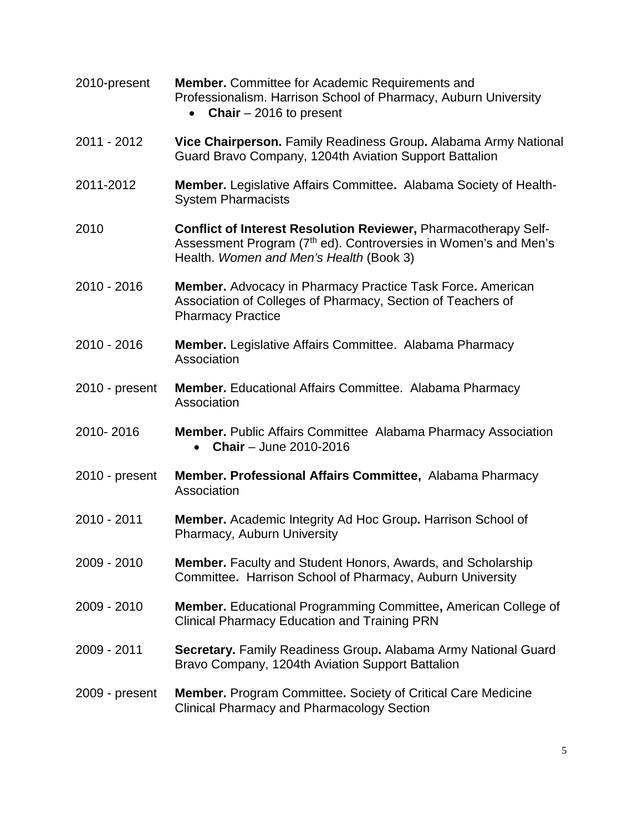| 2010-present     | <b>Member.</b> Committee for Academic Requirements and<br>Professionalism. Harrison School of Pharmacy, Auburn University<br><b>Chair</b> $-2016$ to present                              |
|------------------|-------------------------------------------------------------------------------------------------------------------------------------------------------------------------------------------|
| 2011 - 2012      | Vice Chairperson. Family Readiness Group. Alabama Army National<br>Guard Bravo Company, 1204th Aviation Support Battalion                                                                 |
| 2011-2012        | <b>Member.</b> Legislative Affairs Committee. Alabama Society of Health-<br><b>System Pharmacists</b>                                                                                     |
| 2010             | Conflict of Interest Resolution Reviewer, Pharmacotherapy Self-<br>Assessment Program (7 <sup>th</sup> ed). Controversies in Women's and Men's<br>Health. Women and Men's Health (Book 3) |
| 2010 - 2016      | <b>Member.</b> Advocacy in Pharmacy Practice Task Force. American<br>Association of Colleges of Pharmacy, Section of Teachers of<br><b>Pharmacy Practice</b>                              |
| 2010 - 2016      | <b>Member.</b> Legislative Affairs Committee. Alabama Pharmacy<br>Association                                                                                                             |
| 2010 - present   | <b>Member.</b> Educational Affairs Committee. Alabama Pharmacy<br>Association                                                                                                             |
| 2010-2016        | <b>Member.</b> Public Affairs Committee Alabama Pharmacy Association<br><b>Chair</b> – June 2010-2016                                                                                     |
| 2010 - present   | Member. Professional Affairs Committee, Alabama Pharmacy<br>Association                                                                                                                   |
| 2010 - 2011      | Member. Academic Integrity Ad Hoc Group. Harrison School of<br>Pharmacy, Auburn University                                                                                                |
| 2009 - 2010      | <b>Member.</b> Faculty and Student Honors, Awards, and Scholarship<br>Committee. Harrison School of Pharmacy, Auburn University                                                           |
| 2009 - 2010      | <b>Member.</b> Educational Programming Committee, American College of<br><b>Clinical Pharmacy Education and Training PRN</b>                                                              |
| 2009 - 2011      | <b>Secretary.</b> Family Readiness Group. Alabama Army National Guard<br>Bravo Company, 1204th Aviation Support Battalion                                                                 |
| $2009$ - present | <b>Member.</b> Program Committee. Society of Critical Care Medicine<br><b>Clinical Pharmacy and Pharmacology Section</b>                                                                  |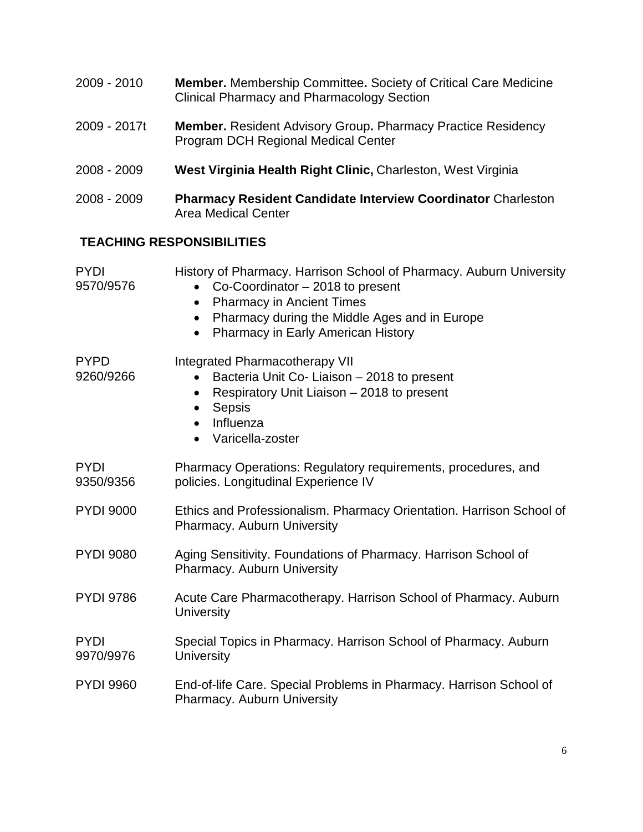- 2009 2010 **Member.** Membership Committee**.** Society of Critical Care Medicine Clinical Pharmacy and Pharmacology Section
- 2009 2017t **Member.** Resident Advisory Group**.** Pharmacy Practice Residency Program DCH Regional Medical Center
- 2008 2009 **West Virginia Health Right Clinic,** Charleston, West Virginia
- 2008 2009 **Pharmacy Resident Candidate Interview Coordinator** Charleston Area Medical Center

# **TEACHING RESPONSIBILITIES**

| <b>PYDI</b><br>9570/9576 | History of Pharmacy. Harrison School of Pharmacy. Auburn University<br>Co-Coordinator - 2018 to present<br>$\bullet$<br><b>Pharmacy in Ancient Times</b><br>$\bullet$<br>Pharmacy during the Middle Ages and in Europe<br>$\bullet$<br>Pharmacy in Early American History<br>$\bullet$ |
|--------------------------|----------------------------------------------------------------------------------------------------------------------------------------------------------------------------------------------------------------------------------------------------------------------------------------|
| <b>PYPD</b><br>9260/9266 | Integrated Pharmacotherapy VII<br>Bacteria Unit Co- Liaison - 2018 to present<br>Respiratory Unit Liaison - 2018 to present<br>$\bullet$<br>Sepsis<br>$\bullet$<br>Influenza<br>$\bullet$<br>Varicella-zoster                                                                          |
| <b>PYDI</b><br>9350/9356 | Pharmacy Operations: Regulatory requirements, procedures, and<br>policies. Longitudinal Experience IV                                                                                                                                                                                  |
| <b>PYDI 9000</b>         | Ethics and Professionalism. Pharmacy Orientation. Harrison School of<br>Pharmacy. Auburn University                                                                                                                                                                                    |
| <b>PYDI 9080</b>         | Aging Sensitivity. Foundations of Pharmacy. Harrison School of<br>Pharmacy. Auburn University                                                                                                                                                                                          |
| <b>PYDI 9786</b>         | Acute Care Pharmacotherapy. Harrison School of Pharmacy. Auburn<br><b>University</b>                                                                                                                                                                                                   |
| <b>PYDI</b><br>9970/9976 | Special Topics in Pharmacy. Harrison School of Pharmacy. Auburn<br><b>University</b>                                                                                                                                                                                                   |
| <b>PYDI 9960</b>         | End-of-life Care. Special Problems in Pharmacy. Harrison School of<br><b>Pharmacy. Auburn University</b>                                                                                                                                                                               |
|                          |                                                                                                                                                                                                                                                                                        |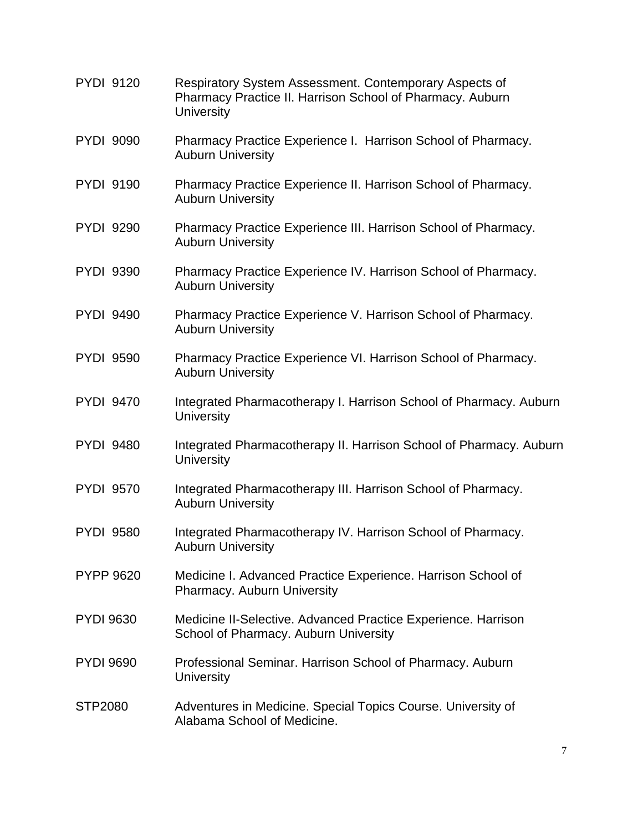- PYDI 9120 Respiratory System Assessment. Contemporary Aspects of Pharmacy Practice II. Harrison School of Pharmacy. Auburn **University**
- PYDI 9090 Pharmacy Practice Experience I. Harrison School of Pharmacy. Auburn University
- PYDI 9190 Pharmacy Practice Experience II. Harrison School of Pharmacy. Auburn University
- PYDI 9290 Pharmacy Practice Experience III. Harrison School of Pharmacy. Auburn University
- PYDI 9390 Pharmacy Practice Experience IV. Harrison School of Pharmacy. Auburn University
- PYDI 9490 Pharmacy Practice Experience V. Harrison School of Pharmacy. Auburn University
- PYDI 9590 Pharmacy Practice Experience VI. Harrison School of Pharmacy. Auburn University
- PYDI 9470 Integrated Pharmacotherapy I. Harrison School of Pharmacy. Auburn **University**
- PYDI 9480 Integrated Pharmacotherapy II. Harrison School of Pharmacy. Auburn **University**
- PYDI 9570 Integrated Pharmacotherapy III. Harrison School of Pharmacy. Auburn University
- PYDI 9580 Integrated Pharmacotherapy IV. Harrison School of Pharmacy. Auburn University
- PYPP 9620 Medicine I. Advanced Practice Experience. Harrison School of Pharmacy. Auburn University
- PYDI 9630 Medicine II-Selective. Advanced Practice Experience. Harrison School of Pharmacy. Auburn University
- PYDI 9690 Professional Seminar. Harrison School of Pharmacy. Auburn **University**
- STP2080 Adventures in Medicine. Special Topics Course. University of Alabama School of Medicine.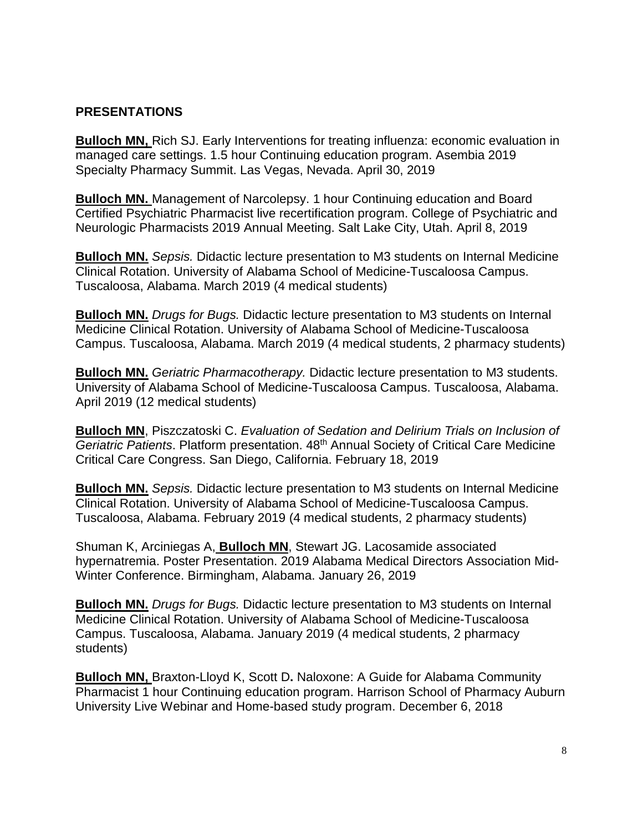## **PRESENTATIONS**

**Bulloch MN,** Rich SJ. Early Interventions for treating influenza: economic evaluation in managed care settings. 1.5 hour Continuing education program. Asembia 2019 Specialty Pharmacy Summit. Las Vegas, Nevada. April 30, 2019

**Bulloch MN.** Management of Narcolepsy. 1 hour Continuing education and Board Certified Psychiatric Pharmacist live recertification program. College of Psychiatric and Neurologic Pharmacists 2019 Annual Meeting. Salt Lake City, Utah. April 8, 2019

**Bulloch MN.** *Sepsis.* Didactic lecture presentation to M3 students on Internal Medicine Clinical Rotation. University of Alabama School of Medicine-Tuscaloosa Campus. Tuscaloosa, Alabama. March 2019 (4 medical students)

**Bulloch MN.** *Drugs for Bugs.* Didactic lecture presentation to M3 students on Internal Medicine Clinical Rotation. University of Alabama School of Medicine-Tuscaloosa Campus. Tuscaloosa, Alabama. March 2019 (4 medical students, 2 pharmacy students)

**Bulloch MN.** *Geriatric Pharmacotherapy.* Didactic lecture presentation to M3 students. University of Alabama School of Medicine-Tuscaloosa Campus. Tuscaloosa, Alabama. April 2019 (12 medical students)

**Bulloch MN**, Piszczatoski C. *Evaluation of Sedation and Delirium Trials on Inclusion of Geriatric Patients*. Platform presentation. 48th Annual Society of Critical Care Medicine Critical Care Congress. San Diego, California. February 18, 2019

**Bulloch MN.** *Sepsis.* Didactic lecture presentation to M3 students on Internal Medicine Clinical Rotation. University of Alabama School of Medicine-Tuscaloosa Campus. Tuscaloosa, Alabama. February 2019 (4 medical students, 2 pharmacy students)

Shuman K, Arciniegas A, **Bulloch MN**, Stewart JG. Lacosamide associated hypernatremia. Poster Presentation. 2019 Alabama Medical Directors Association Mid-Winter Conference. Birmingham, Alabama. January 26, 2019

**Bulloch MN.** *Drugs for Bugs.* Didactic lecture presentation to M3 students on Internal Medicine Clinical Rotation. University of Alabama School of Medicine-Tuscaloosa Campus. Tuscaloosa, Alabama. January 2019 (4 medical students, 2 pharmacy students)

**Bulloch MN,** Braxton-Lloyd K, Scott D**.** Naloxone: A Guide for Alabama Community Pharmacist 1 hour Continuing education program. Harrison School of Pharmacy Auburn University Live Webinar and Home-based study program. December 6, 2018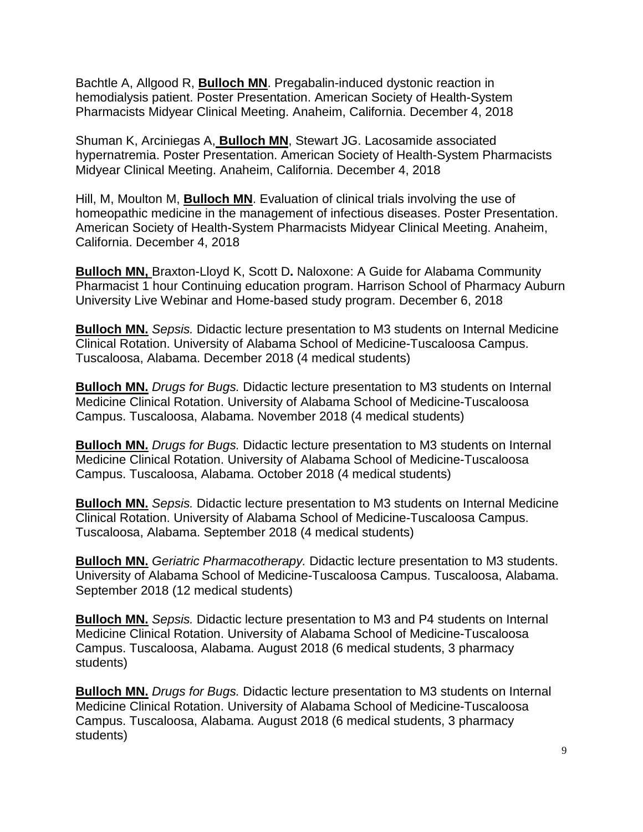Bachtle A, Allgood R, **Bulloch MN**. Pregabalin-induced dystonic reaction in hemodialysis patient. Poster Presentation. American Society of Health-System Pharmacists Midyear Clinical Meeting. Anaheim, California. December 4, 2018

Shuman K, Arciniegas A, **Bulloch MN**, Stewart JG. Lacosamide associated hypernatremia. Poster Presentation. American Society of Health-System Pharmacists Midyear Clinical Meeting. Anaheim, California. December 4, 2018

Hill, M, Moulton M, **Bulloch MN**. Evaluation of clinical trials involving the use of homeopathic medicine in the management of infectious diseases. Poster Presentation. American Society of Health-System Pharmacists Midyear Clinical Meeting. Anaheim, California. December 4, 2018

**Bulloch MN,** Braxton-Lloyd K, Scott D**.** Naloxone: A Guide for Alabama Community Pharmacist 1 hour Continuing education program. Harrison School of Pharmacy Auburn University Live Webinar and Home-based study program. December 6, 2018

**Bulloch MN.** *Sepsis.* Didactic lecture presentation to M3 students on Internal Medicine Clinical Rotation. University of Alabama School of Medicine-Tuscaloosa Campus. Tuscaloosa, Alabama. December 2018 (4 medical students)

**Bulloch MN.** *Drugs for Bugs.* Didactic lecture presentation to M3 students on Internal Medicine Clinical Rotation. University of Alabama School of Medicine-Tuscaloosa Campus. Tuscaloosa, Alabama. November 2018 (4 medical students)

**Bulloch MN.** *Drugs for Bugs.* Didactic lecture presentation to M3 students on Internal Medicine Clinical Rotation. University of Alabama School of Medicine-Tuscaloosa Campus. Tuscaloosa, Alabama. October 2018 (4 medical students)

**Bulloch MN.** *Sepsis.* Didactic lecture presentation to M3 students on Internal Medicine Clinical Rotation. University of Alabama School of Medicine-Tuscaloosa Campus. Tuscaloosa, Alabama. September 2018 (4 medical students)

**Bulloch MN.** *Geriatric Pharmacotherapy.* Didactic lecture presentation to M3 students. University of Alabama School of Medicine-Tuscaloosa Campus. Tuscaloosa, Alabama. September 2018 (12 medical students)

**Bulloch MN.** *Sepsis.* Didactic lecture presentation to M3 and P4 students on Internal Medicine Clinical Rotation. University of Alabama School of Medicine-Tuscaloosa Campus. Tuscaloosa, Alabama. August 2018 (6 medical students, 3 pharmacy students)

**Bulloch MN.** *Drugs for Bugs.* Didactic lecture presentation to M3 students on Internal Medicine Clinical Rotation. University of Alabama School of Medicine-Tuscaloosa Campus. Tuscaloosa, Alabama. August 2018 (6 medical students, 3 pharmacy students)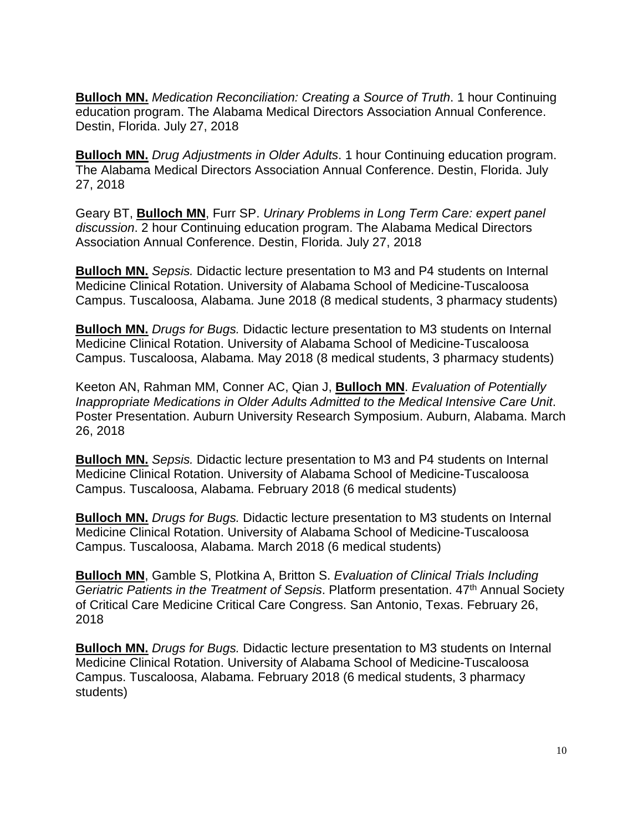**Bulloch MN.** *Medication Reconciliation: Creating a Source of Truth*. 1 hour Continuing education program. The Alabama Medical Directors Association Annual Conference. Destin, Florida. July 27, 2018

**Bulloch MN.** *Drug Adjustments in Older Adults*. 1 hour Continuing education program. The Alabama Medical Directors Association Annual Conference. Destin, Florida. July 27, 2018

Geary BT, **Bulloch MN**, Furr SP. *Urinary Problems in Long Term Care: expert panel discussion*. 2 hour Continuing education program. The Alabama Medical Directors Association Annual Conference. Destin, Florida. July 27, 2018

**Bulloch MN.** *Sepsis.* Didactic lecture presentation to M3 and P4 students on Internal Medicine Clinical Rotation. University of Alabama School of Medicine-Tuscaloosa Campus. Tuscaloosa, Alabama. June 2018 (8 medical students, 3 pharmacy students)

**Bulloch MN.** *Drugs for Bugs.* Didactic lecture presentation to M3 students on Internal Medicine Clinical Rotation. University of Alabama School of Medicine-Tuscaloosa Campus. Tuscaloosa, Alabama. May 2018 (8 medical students, 3 pharmacy students)

Keeton AN, Rahman MM, Conner AC, Qian J, **Bulloch MN**. *Evaluation of Potentially Inappropriate Medications in Older Adults Admitted to the Medical Intensive Care Unit*. Poster Presentation. Auburn University Research Symposium. Auburn, Alabama. March 26, 2018

**Bulloch MN.** *Sepsis.* Didactic lecture presentation to M3 and P4 students on Internal Medicine Clinical Rotation. University of Alabama School of Medicine-Tuscaloosa Campus. Tuscaloosa, Alabama. February 2018 (6 medical students)

**Bulloch MN.** *Drugs for Bugs.* Didactic lecture presentation to M3 students on Internal Medicine Clinical Rotation. University of Alabama School of Medicine-Tuscaloosa Campus. Tuscaloosa, Alabama. March 2018 (6 medical students)

**Bulloch MN**, Gamble S, Plotkina A, Britton S. *Evaluation of Clinical Trials Including Geriatric Patients in the Treatment of Sepsis*. Platform presentation. 47th Annual Society of Critical Care Medicine Critical Care Congress. San Antonio, Texas. February 26, 2018

**Bulloch MN.** *Drugs for Bugs.* Didactic lecture presentation to M3 students on Internal Medicine Clinical Rotation. University of Alabama School of Medicine-Tuscaloosa Campus. Tuscaloosa, Alabama. February 2018 (6 medical students, 3 pharmacy students)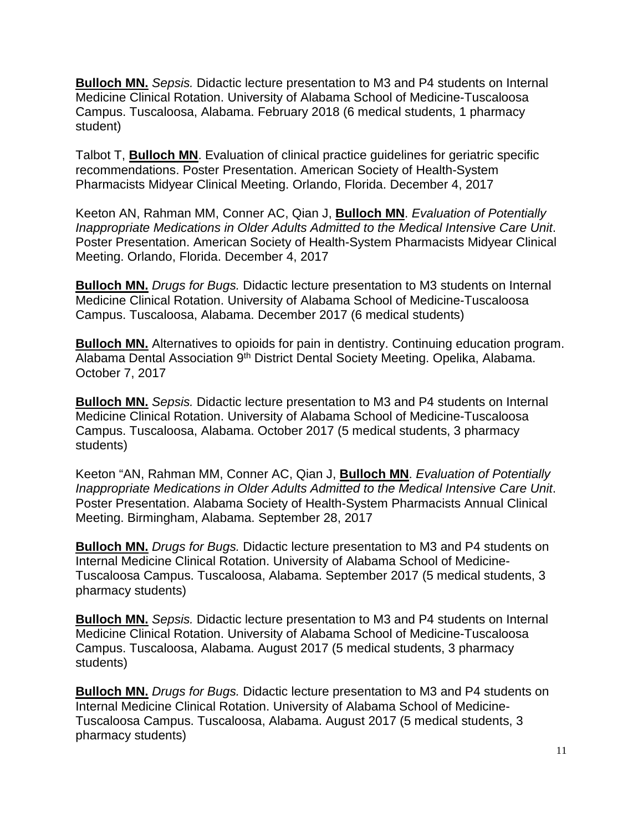**Bulloch MN.** *Sepsis.* Didactic lecture presentation to M3 and P4 students on Internal Medicine Clinical Rotation. University of Alabama School of Medicine-Tuscaloosa Campus. Tuscaloosa, Alabama. February 2018 (6 medical students, 1 pharmacy student)

Talbot T, **Bulloch MN**. Evaluation of clinical practice guidelines for geriatric specific recommendations. Poster Presentation. American Society of Health-System Pharmacists Midyear Clinical Meeting. Orlando, Florida. December 4, 2017

Keeton AN, Rahman MM, Conner AC, Qian J, **Bulloch MN**. *Evaluation of Potentially Inappropriate Medications in Older Adults Admitted to the Medical Intensive Care Unit*. Poster Presentation. American Society of Health-System Pharmacists Midyear Clinical Meeting. Orlando, Florida. December 4, 2017

**Bulloch MN.** *Drugs for Bugs.* Didactic lecture presentation to M3 students on Internal Medicine Clinical Rotation. University of Alabama School of Medicine-Tuscaloosa Campus. Tuscaloosa, Alabama. December 2017 (6 medical students)

**Bulloch MN.** Alternatives to opioids for pain in dentistry. Continuing education program. Alabama Dental Association 9<sup>th</sup> District Dental Society Meeting. Opelika, Alabama. October 7, 2017

**Bulloch MN.** *Sepsis.* Didactic lecture presentation to M3 and P4 students on Internal Medicine Clinical Rotation. University of Alabama School of Medicine-Tuscaloosa Campus. Tuscaloosa, Alabama. October 2017 (5 medical students, 3 pharmacy students)

Keeton "AN, Rahman MM, Conner AC, Qian J, **Bulloch MN**. *Evaluation of Potentially Inappropriate Medications in Older Adults Admitted to the Medical Intensive Care Unit*. Poster Presentation. Alabama Society of Health-System Pharmacists Annual Clinical Meeting. Birmingham, Alabama. September 28, 2017

**Bulloch MN.** *Drugs for Bugs.* Didactic lecture presentation to M3 and P4 students on Internal Medicine Clinical Rotation. University of Alabama School of Medicine-Tuscaloosa Campus. Tuscaloosa, Alabama. September 2017 (5 medical students, 3 pharmacy students)

**Bulloch MN.** *Sepsis.* Didactic lecture presentation to M3 and P4 students on Internal Medicine Clinical Rotation. University of Alabama School of Medicine-Tuscaloosa Campus. Tuscaloosa, Alabama. August 2017 (5 medical students, 3 pharmacy students)

**Bulloch MN.** *Drugs for Bugs.* Didactic lecture presentation to M3 and P4 students on Internal Medicine Clinical Rotation. University of Alabama School of Medicine-Tuscaloosa Campus. Tuscaloosa, Alabama. August 2017 (5 medical students, 3 pharmacy students)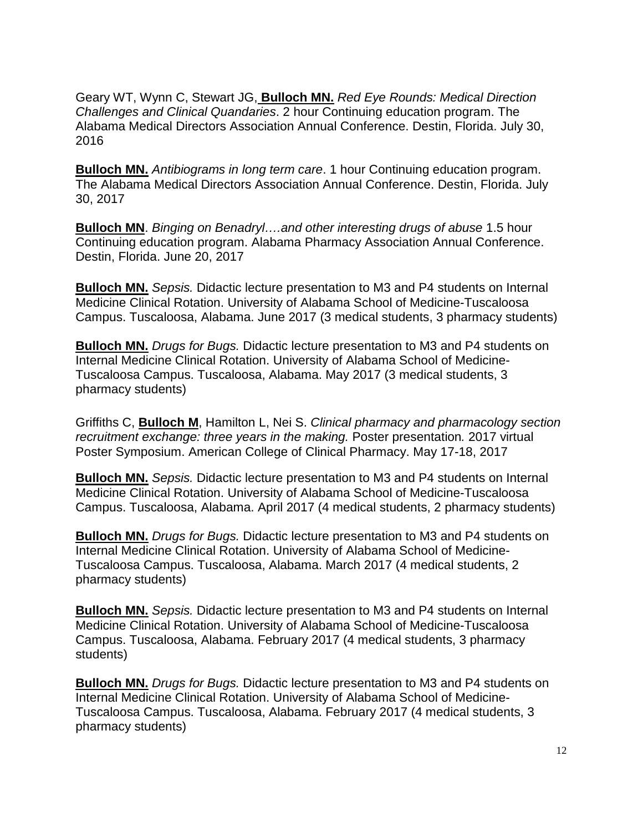Geary WT, Wynn C, Stewart JG, **Bulloch MN.** *Red Eye Rounds: Medical Direction Challenges and Clinical Quandaries*. 2 hour Continuing education program. The Alabama Medical Directors Association Annual Conference. Destin, Florida. July 30, 2016

**Bulloch MN.** *Antibiograms in long term care*. 1 hour Continuing education program. The Alabama Medical Directors Association Annual Conference. Destin, Florida. July 30, 2017

**Bulloch MN**. *Binging on Benadryl….and other interesting drugs of abuse* 1.5 hour Continuing education program. Alabama Pharmacy Association Annual Conference. Destin, Florida. June 20, 2017

**Bulloch MN.** *Sepsis.* Didactic lecture presentation to M3 and P4 students on Internal Medicine Clinical Rotation. University of Alabama School of Medicine-Tuscaloosa Campus. Tuscaloosa, Alabama. June 2017 (3 medical students, 3 pharmacy students)

**Bulloch MN.** *Drugs for Bugs.* Didactic lecture presentation to M3 and P4 students on Internal Medicine Clinical Rotation. University of Alabama School of Medicine-Tuscaloosa Campus. Tuscaloosa, Alabama. May 2017 (3 medical students, 3 pharmacy students)

Griffiths C, **Bulloch M**, Hamilton L, Nei S. *Clinical pharmacy and pharmacology section recruitment exchange: three years in the making.* Poster presentation*.* 2017 virtual Poster Symposium. American College of Clinical Pharmacy. May 17-18, 2017

**Bulloch MN.** *Sepsis.* Didactic lecture presentation to M3 and P4 students on Internal Medicine Clinical Rotation. University of Alabama School of Medicine-Tuscaloosa Campus. Tuscaloosa, Alabama. April 2017 (4 medical students, 2 pharmacy students)

**Bulloch MN.** *Drugs for Bugs.* Didactic lecture presentation to M3 and P4 students on Internal Medicine Clinical Rotation. University of Alabama School of Medicine-Tuscaloosa Campus. Tuscaloosa, Alabama. March 2017 (4 medical students, 2 pharmacy students)

**Bulloch MN.** *Sepsis.* Didactic lecture presentation to M3 and P4 students on Internal Medicine Clinical Rotation. University of Alabama School of Medicine-Tuscaloosa Campus. Tuscaloosa, Alabama. February 2017 (4 medical students, 3 pharmacy students)

**Bulloch MN.** *Drugs for Bugs.* Didactic lecture presentation to M3 and P4 students on Internal Medicine Clinical Rotation. University of Alabama School of Medicine-Tuscaloosa Campus. Tuscaloosa, Alabama. February 2017 (4 medical students, 3 pharmacy students)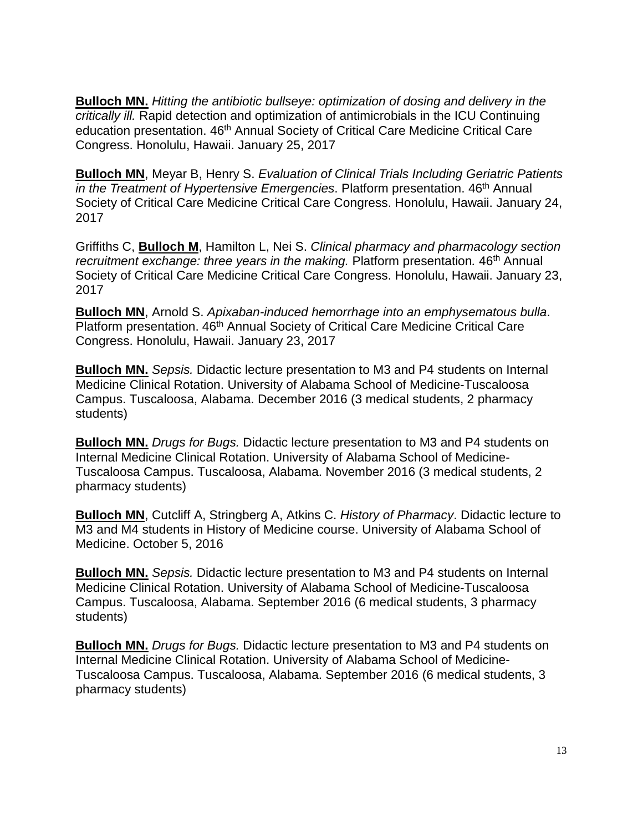**Bulloch MN.** *Hitting the antibiotic bullseye: optimization of dosing and delivery in the critically ill.* Rapid detection and optimization of antimicrobials in the ICU Continuing education presentation. 46<sup>th</sup> Annual Society of Critical Care Medicine Critical Care Congress. Honolulu, Hawaii. January 25, 2017

**Bulloch MN**, Meyar B, Henry S. *Evaluation of Clinical Trials Including Geriatric Patients in the Treatment of Hypertensive Emergencies*. Platform presentation. 46<sup>th</sup> Annual Society of Critical Care Medicine Critical Care Congress. Honolulu, Hawaii. January 24, 2017

Griffiths C, **Bulloch M**, Hamilton L, Nei S. *Clinical pharmacy and pharmacology section recruitment exchange: three years in the making.* Platform presentation. 46<sup>th</sup> Annual Society of Critical Care Medicine Critical Care Congress. Honolulu, Hawaii. January 23, 2017

**Bulloch MN**, Arnold S. *Apixaban-induced hemorrhage into an emphysematous bulla*. Platform presentation. 46<sup>th</sup> Annual Society of Critical Care Medicine Critical Care Congress. Honolulu, Hawaii. January 23, 2017

**Bulloch MN.** *Sepsis.* Didactic lecture presentation to M3 and P4 students on Internal Medicine Clinical Rotation. University of Alabama School of Medicine-Tuscaloosa Campus. Tuscaloosa, Alabama. December 2016 (3 medical students, 2 pharmacy students)

**Bulloch MN.** *Drugs for Bugs.* Didactic lecture presentation to M3 and P4 students on Internal Medicine Clinical Rotation. University of Alabama School of Medicine-Tuscaloosa Campus. Tuscaloosa, Alabama. November 2016 (3 medical students, 2 pharmacy students)

**Bulloch MN**, Cutcliff A, Stringberg A, Atkins C. *History of Pharmacy*. Didactic lecture to M3 and M4 students in History of Medicine course. University of Alabama School of Medicine. October 5, 2016

**Bulloch MN.** *Sepsis.* Didactic lecture presentation to M3 and P4 students on Internal Medicine Clinical Rotation. University of Alabama School of Medicine-Tuscaloosa Campus. Tuscaloosa, Alabama. September 2016 (6 medical students, 3 pharmacy students)

**Bulloch MN.** *Drugs for Bugs.* Didactic lecture presentation to M3 and P4 students on Internal Medicine Clinical Rotation. University of Alabama School of Medicine-Tuscaloosa Campus. Tuscaloosa, Alabama. September 2016 (6 medical students, 3 pharmacy students)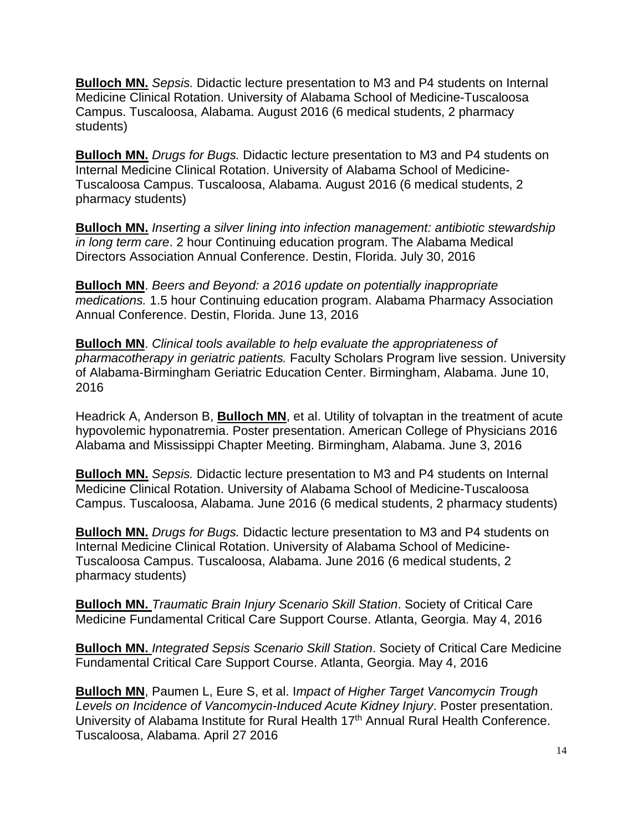**Bulloch MN.** *Sepsis.* Didactic lecture presentation to M3 and P4 students on Internal Medicine Clinical Rotation. University of Alabama School of Medicine-Tuscaloosa Campus. Tuscaloosa, Alabama. August 2016 (6 medical students, 2 pharmacy students)

**Bulloch MN.** *Drugs for Bugs.* Didactic lecture presentation to M3 and P4 students on Internal Medicine Clinical Rotation. University of Alabama School of Medicine-Tuscaloosa Campus. Tuscaloosa, Alabama. August 2016 (6 medical students, 2 pharmacy students)

**Bulloch MN.** *Inserting a silver lining into infection management: antibiotic stewardship in long term care*. 2 hour Continuing education program. The Alabama Medical Directors Association Annual Conference. Destin, Florida. July 30, 2016

**Bulloch MN**. *Beers and Beyond: a 2016 update on potentially inappropriate medications.* 1.5 hour Continuing education program. Alabama Pharmacy Association Annual Conference. Destin, Florida. June 13, 2016

**Bulloch MN**. *Clinical tools available to help evaluate the appropriateness of pharmacotherapy in geriatric patients.* Faculty Scholars Program live session. University of Alabama-Birmingham Geriatric Education Center. Birmingham, Alabama. June 10, 2016

Headrick A, Anderson B, **Bulloch MN**, et al. Utility of tolvaptan in the treatment of acute hypovolemic hyponatremia. Poster presentation. American College of Physicians 2016 Alabama and Mississippi Chapter Meeting. Birmingham, Alabama. June 3, 2016

**Bulloch MN.** *Sepsis.* Didactic lecture presentation to M3 and P4 students on Internal Medicine Clinical Rotation. University of Alabama School of Medicine-Tuscaloosa Campus. Tuscaloosa, Alabama. June 2016 (6 medical students, 2 pharmacy students)

**Bulloch MN.** *Drugs for Bugs.* Didactic lecture presentation to M3 and P4 students on Internal Medicine Clinical Rotation. University of Alabama School of Medicine-Tuscaloosa Campus. Tuscaloosa, Alabama. June 2016 (6 medical students, 2 pharmacy students)

**Bulloch MN.** *Traumatic Brain Injury Scenario Skill Station*. Society of Critical Care Medicine Fundamental Critical Care Support Course. Atlanta, Georgia. May 4, 2016

**Bulloch MN.** *Integrated Sepsis Scenario Skill Station*. Society of Critical Care Medicine Fundamental Critical Care Support Course. Atlanta, Georgia. May 4, 2016

**Bulloch MN**, Paumen L, Eure S, et al. I*mpact of Higher Target Vancomycin Trough Levels on Incidence of Vancomycin-Induced Acute Kidney Injury*. Poster presentation. University of Alabama Institute for Rural Health 17<sup>th</sup> Annual Rural Health Conference. Tuscaloosa, Alabama. April 27 2016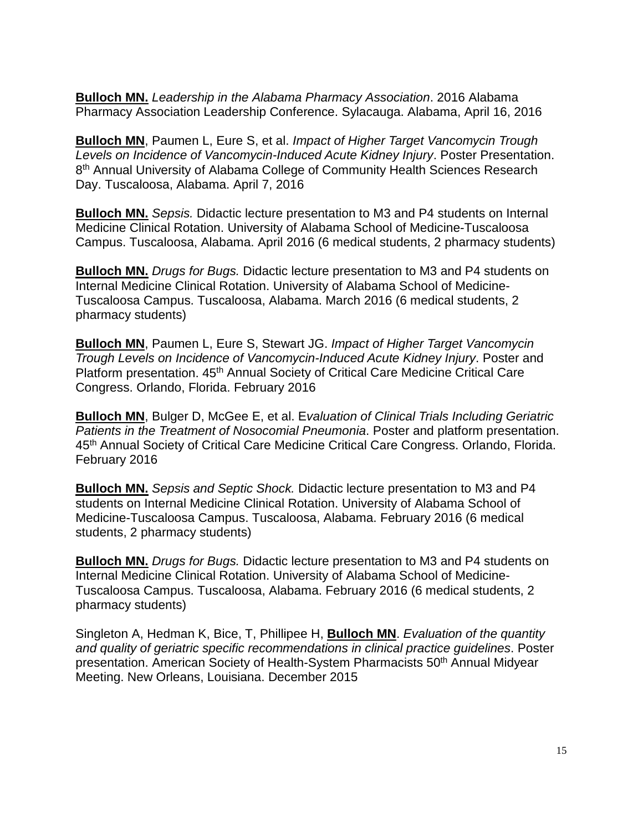**Bulloch MN.** *Leadership in the Alabama Pharmacy Association*. 2016 Alabama Pharmacy Association Leadership Conference. Sylacauga. Alabama, April 16, 2016

**Bulloch MN**, Paumen L, Eure S, et al. *Impact of Higher Target Vancomycin Trough Levels on Incidence of Vancomycin-Induced Acute Kidney Injury*. Poster Presentation. 8<sup>th</sup> Annual University of Alabama College of Community Health Sciences Research Day. Tuscaloosa, Alabama. April 7, 2016

**Bulloch MN.** *Sepsis.* Didactic lecture presentation to M3 and P4 students on Internal Medicine Clinical Rotation. University of Alabama School of Medicine-Tuscaloosa Campus. Tuscaloosa, Alabama. April 2016 (6 medical students, 2 pharmacy students)

**Bulloch MN.** *Drugs for Bugs.* Didactic lecture presentation to M3 and P4 students on Internal Medicine Clinical Rotation. University of Alabama School of Medicine-Tuscaloosa Campus. Tuscaloosa, Alabama. March 2016 (6 medical students, 2 pharmacy students)

**Bulloch MN**, Paumen L, Eure S, Stewart JG. *Impact of Higher Target Vancomycin Trough Levels on Incidence of Vancomycin-Induced Acute Kidney Injury*. Poster and Platform presentation. 45<sup>th</sup> Annual Society of Critical Care Medicine Critical Care Congress. Orlando, Florida. February 2016

**Bulloch MN**, Bulger D, McGee E, et al. E*valuation of Clinical Trials Including Geriatric Patients in the Treatment of Nosocomial Pneumonia*. Poster and platform presentation. 45<sup>th</sup> Annual Society of Critical Care Medicine Critical Care Congress. Orlando, Florida. February 2016

**Bulloch MN.** *Sepsis and Septic Shock.* Didactic lecture presentation to M3 and P4 students on Internal Medicine Clinical Rotation. University of Alabama School of Medicine-Tuscaloosa Campus. Tuscaloosa, Alabama. February 2016 (6 medical students, 2 pharmacy students)

**Bulloch MN.** *Drugs for Bugs.* Didactic lecture presentation to M3 and P4 students on Internal Medicine Clinical Rotation. University of Alabama School of Medicine-Tuscaloosa Campus. Tuscaloosa, Alabama. February 2016 (6 medical students, 2 pharmacy students)

Singleton A, Hedman K, Bice, T, Phillipee H, **Bulloch MN**. *Evaluation of the quantity and quality of geriatric specific recommendations in clinical practice guidelines*. Poster presentation. American Society of Health-System Pharmacists 50<sup>th</sup> Annual Midyear Meeting. New Orleans, Louisiana. December 2015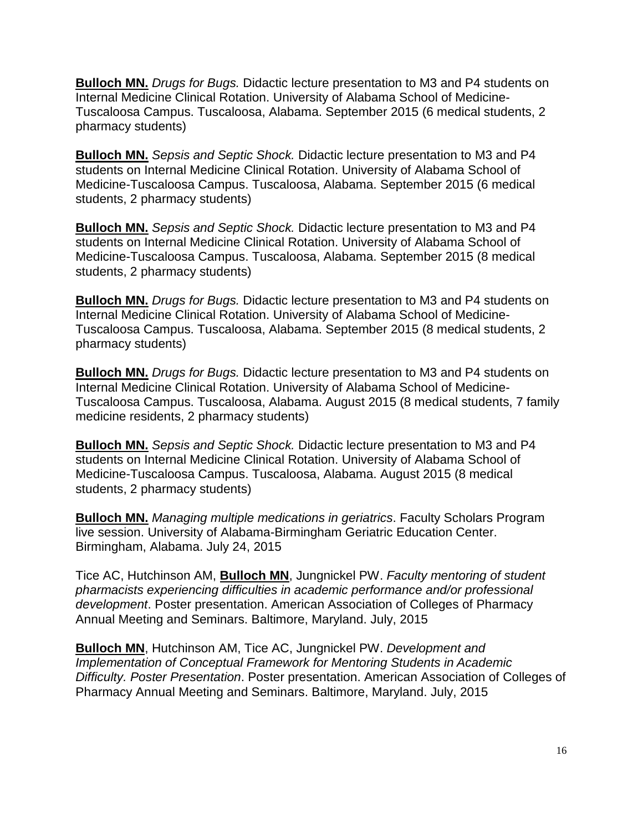**Bulloch MN.** *Drugs for Bugs.* Didactic lecture presentation to M3 and P4 students on Internal Medicine Clinical Rotation. University of Alabama School of Medicine-Tuscaloosa Campus. Tuscaloosa, Alabama. September 2015 (6 medical students, 2 pharmacy students)

**Bulloch MN.** *Sepsis and Septic Shock.* Didactic lecture presentation to M3 and P4 students on Internal Medicine Clinical Rotation. University of Alabama School of Medicine-Tuscaloosa Campus. Tuscaloosa, Alabama. September 2015 (6 medical students, 2 pharmacy students)

**Bulloch MN.** *Sepsis and Septic Shock.* Didactic lecture presentation to M3 and P4 students on Internal Medicine Clinical Rotation. University of Alabama School of Medicine-Tuscaloosa Campus. Tuscaloosa, Alabama. September 2015 (8 medical students, 2 pharmacy students)

**Bulloch MN.** *Drugs for Bugs.* Didactic lecture presentation to M3 and P4 students on Internal Medicine Clinical Rotation. University of Alabama School of Medicine-Tuscaloosa Campus. Tuscaloosa, Alabama. September 2015 (8 medical students, 2 pharmacy students)

**Bulloch MN.** *Drugs for Bugs.* Didactic lecture presentation to M3 and P4 students on Internal Medicine Clinical Rotation. University of Alabama School of Medicine-Tuscaloosa Campus. Tuscaloosa, Alabama. August 2015 (8 medical students, 7 family medicine residents, 2 pharmacy students)

**Bulloch MN.** *Sepsis and Septic Shock.* Didactic lecture presentation to M3 and P4 students on Internal Medicine Clinical Rotation. University of Alabama School of Medicine-Tuscaloosa Campus. Tuscaloosa, Alabama. August 2015 (8 medical students, 2 pharmacy students)

**Bulloch MN.** *Managing multiple medications in geriatrics*. Faculty Scholars Program live session. University of Alabama-Birmingham Geriatric Education Center. Birmingham, Alabama. July 24, 2015

Tice AC, Hutchinson AM, **Bulloch MN**, Jungnickel PW. *Faculty mentoring of student pharmacists experiencing difficulties in academic performance and/or professional development*. Poster presentation. American Association of Colleges of Pharmacy Annual Meeting and Seminars. Baltimore, Maryland. July, 2015

**Bulloch MN**, Hutchinson AM, Tice AC, Jungnickel PW. *Development and Implementation of Conceptual Framework for Mentoring Students in Academic Difficulty. Poster Presentation*. Poster presentation. American Association of Colleges of Pharmacy Annual Meeting and Seminars. Baltimore, Maryland. July, 2015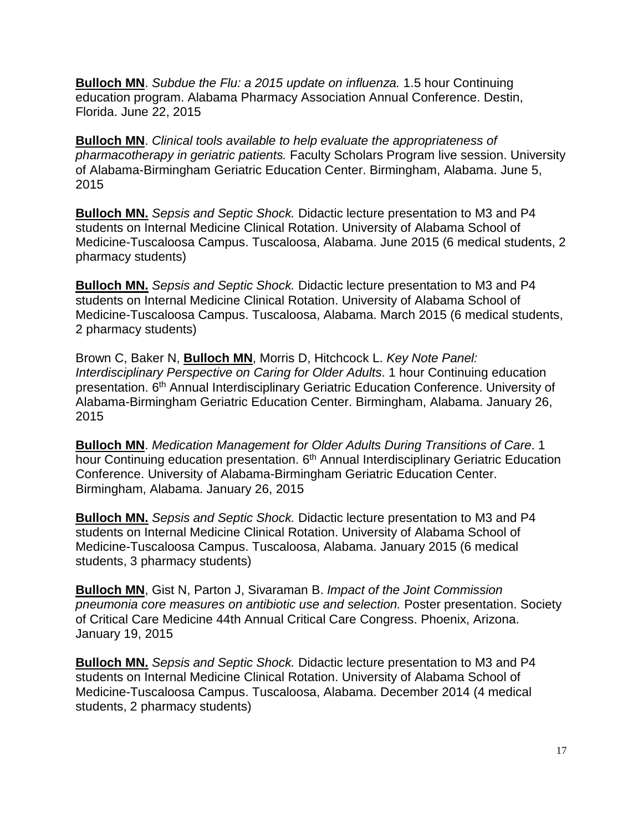**Bulloch MN**. *Subdue the Flu: a 2015 update on influenza.* 1.5 hour Continuing education program. Alabama Pharmacy Association Annual Conference. Destin, Florida. June 22, 2015

**Bulloch MN**. *Clinical tools available to help evaluate the appropriateness of pharmacotherapy in geriatric patients.* Faculty Scholars Program live session. University of Alabama-Birmingham Geriatric Education Center. Birmingham, Alabama. June 5, 2015

**Bulloch MN.** *Sepsis and Septic Shock.* Didactic lecture presentation to M3 and P4 students on Internal Medicine Clinical Rotation. University of Alabama School of Medicine-Tuscaloosa Campus. Tuscaloosa, Alabama. June 2015 (6 medical students, 2 pharmacy students)

**Bulloch MN.** *Sepsis and Septic Shock.* Didactic lecture presentation to M3 and P4 students on Internal Medicine Clinical Rotation. University of Alabama School of Medicine-Tuscaloosa Campus. Tuscaloosa, Alabama. March 2015 (6 medical students, 2 pharmacy students)

Brown C, Baker N, **Bulloch MN**, Morris D, Hitchcock L. *Key Note Panel: Interdisciplinary Perspective on Caring for Older Adults*. 1 hour Continuing education presentation. 6<sup>th</sup> Annual Interdisciplinary Geriatric Education Conference. University of Alabama-Birmingham Geriatric Education Center. Birmingham, Alabama. January 26, 2015

**Bulloch MN**. *Medication Management for Older Adults During Transitions of Care*. 1 hour Continuing education presentation. 6<sup>th</sup> Annual Interdisciplinary Geriatric Education Conference. University of Alabama-Birmingham Geriatric Education Center. Birmingham, Alabama. January 26, 2015

**Bulloch MN.** *Sepsis and Septic Shock.* Didactic lecture presentation to M3 and P4 students on Internal Medicine Clinical Rotation. University of Alabama School of Medicine-Tuscaloosa Campus. Tuscaloosa, Alabama. January 2015 (6 medical students, 3 pharmacy students)

**Bulloch MN**, Gist N, Parton J, Sivaraman B. *Impact of the Joint Commission pneumonia core measures on antibiotic use and selection.* Poster presentation. Society of Critical Care Medicine 44th Annual Critical Care Congress. Phoenix, Arizona. January 19, 2015

**Bulloch MN.** *Sepsis and Septic Shock.* Didactic lecture presentation to M3 and P4 students on Internal Medicine Clinical Rotation. University of Alabama School of Medicine-Tuscaloosa Campus. Tuscaloosa, Alabama. December 2014 (4 medical students, 2 pharmacy students)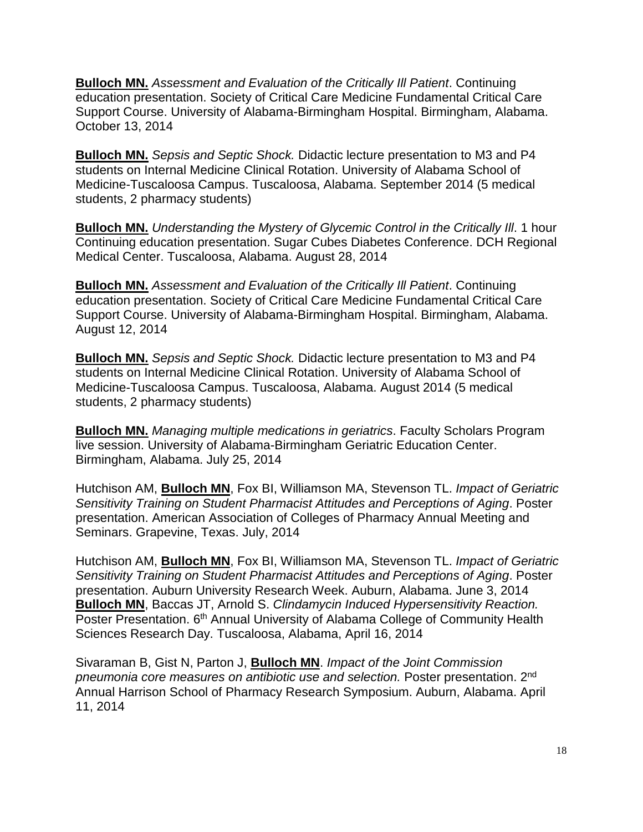**Bulloch MN.** *Assessment and Evaluation of the Critically Ill Patient*. Continuing education presentation. Society of Critical Care Medicine Fundamental Critical Care Support Course. University of Alabama-Birmingham Hospital. Birmingham, Alabama. October 13, 2014

**Bulloch MN.** *Sepsis and Septic Shock.* Didactic lecture presentation to M3 and P4 students on Internal Medicine Clinical Rotation. University of Alabama School of Medicine-Tuscaloosa Campus. Tuscaloosa, Alabama. September 2014 (5 medical students, 2 pharmacy students)

**Bulloch MN.** *Understanding the Mystery of Glycemic Control in the Critically Ill*. 1 hour Continuing education presentation. Sugar Cubes Diabetes Conference. DCH Regional Medical Center. Tuscaloosa, Alabama. August 28, 2014

**Bulloch MN.** *Assessment and Evaluation of the Critically Ill Patient*. Continuing education presentation. Society of Critical Care Medicine Fundamental Critical Care Support Course. University of Alabama-Birmingham Hospital. Birmingham, Alabama. August 12, 2014

**Bulloch MN.** *Sepsis and Septic Shock.* Didactic lecture presentation to M3 and P4 students on Internal Medicine Clinical Rotation. University of Alabama School of Medicine-Tuscaloosa Campus. Tuscaloosa, Alabama. August 2014 (5 medical students, 2 pharmacy students)

**Bulloch MN.** *Managing multiple medications in geriatrics*. Faculty Scholars Program live session. University of Alabama-Birmingham Geriatric Education Center. Birmingham, Alabama. July 25, 2014

Hutchison AM, **Bulloch MN**, Fox BI, Williamson MA, Stevenson TL. *Impact of Geriatric Sensitivity Training on Student Pharmacist Attitudes and Perceptions of Aging*. Poster presentation. American Association of Colleges of Pharmacy Annual Meeting and Seminars. Grapevine, Texas. July, 2014

Hutchison AM, **Bulloch MN**, Fox BI, Williamson MA, Stevenson TL. *Impact of Geriatric Sensitivity Training on Student Pharmacist Attitudes and Perceptions of Aging*. Poster presentation. Auburn University Research Week. Auburn, Alabama. June 3, 2014 **Bulloch MN**, Baccas JT, Arnold S. *Clindamycin Induced Hypersensitivity Reaction.*  Poster Presentation. 6<sup>th</sup> Annual University of Alabama College of Community Health Sciences Research Day. Tuscaloosa, Alabama, April 16, 2014

Sivaraman B, Gist N, Parton J, **Bulloch MN**. *Impact of the Joint Commission pneumonia core measures on antibiotic use and selection.* Poster presentation. 2nd Annual Harrison School of Pharmacy Research Symposium. Auburn, Alabama. April 11, 2014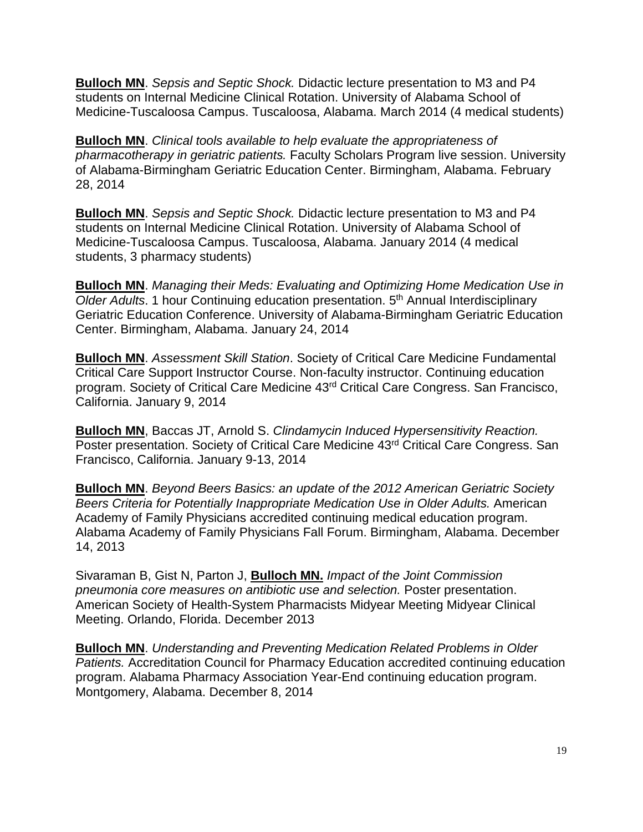**Bulloch MN**. *Sepsis and Septic Shock.* Didactic lecture presentation to M3 and P4 students on Internal Medicine Clinical Rotation. University of Alabama School of Medicine-Tuscaloosa Campus. Tuscaloosa, Alabama. March 2014 (4 medical students)

**Bulloch MN**. *Clinical tools available to help evaluate the appropriateness of pharmacotherapy in geriatric patients.* Faculty Scholars Program live session. University of Alabama-Birmingham Geriatric Education Center. Birmingham, Alabama. February 28, 2014

**Bulloch MN**. *Sepsis and Septic Shock.* Didactic lecture presentation to M3 and P4 students on Internal Medicine Clinical Rotation. University of Alabama School of Medicine-Tuscaloosa Campus. Tuscaloosa, Alabama. January 2014 (4 medical students, 3 pharmacy students)

**Bulloch MN**. *Managing their Meds: Evaluating and Optimizing Home Medication Use in Older Adults*. 1 hour Continuing education presentation. 5th Annual Interdisciplinary Geriatric Education Conference. University of Alabama-Birmingham Geriatric Education Center. Birmingham, Alabama. January 24, 2014

**Bulloch MN**. *Assessment Skill Station*. Society of Critical Care Medicine Fundamental Critical Care Support Instructor Course. Non-faculty instructor. Continuing education program. Society of Critical Care Medicine 43rd Critical Care Congress. San Francisco, California. January 9, 2014

**Bulloch MN**, Baccas JT, Arnold S. *Clindamycin Induced Hypersensitivity Reaction.*  Poster presentation. Society of Critical Care Medicine 43<sup>rd</sup> Critical Care Congress. San Francisco, California. January 9-13, 2014

**Bulloch MN**. *Beyond Beers Basics: an update of the 2012 American Geriatric Society Beers Criteria for Potentially Inappropriate Medication Use in Older Adults.* American Academy of Family Physicians accredited continuing medical education program. Alabama Academy of Family Physicians Fall Forum. Birmingham, Alabama. December 14, 2013

Sivaraman B, Gist N, Parton J, **Bulloch MN.** *Impact of the Joint Commission pneumonia core measures on antibiotic use and selection.* Poster presentation. American Society of Health-System Pharmacists Midyear Meeting Midyear Clinical Meeting. Orlando, Florida. December 2013

**Bulloch MN**. *Understanding and Preventing Medication Related Problems in Older Patients.* Accreditation Council for Pharmacy Education accredited continuing education program. Alabama Pharmacy Association Year-End continuing education program. Montgomery, Alabama. December 8, 2014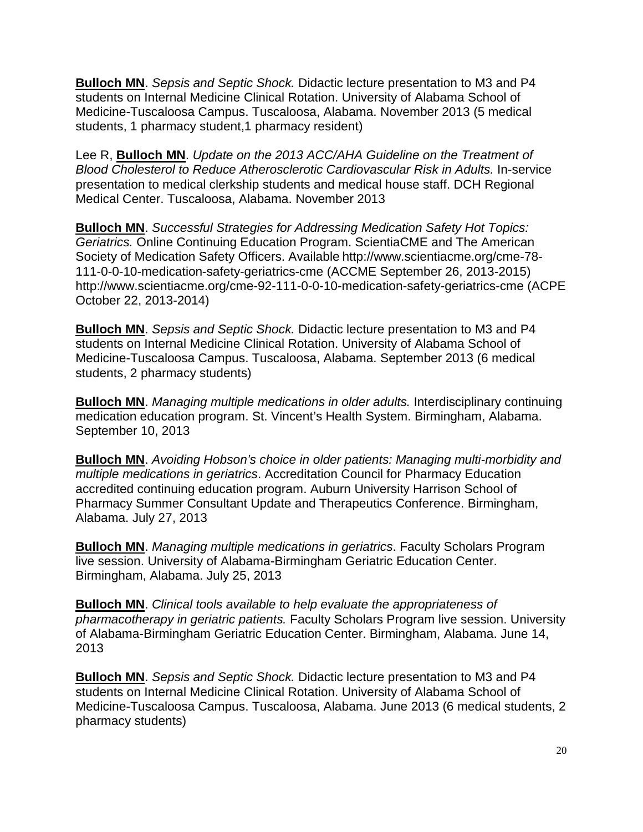**Bulloch MN**. *Sepsis and Septic Shock.* Didactic lecture presentation to M3 and P4 students on Internal Medicine Clinical Rotation. University of Alabama School of Medicine-Tuscaloosa Campus. Tuscaloosa, Alabama. November 2013 (5 medical students, 1 pharmacy student,1 pharmacy resident)

Lee R, **Bulloch MN**. *Update on the 2013 ACC/AHA Guideline on the Treatment of Blood Cholesterol to Reduce Atherosclerotic Cardiovascular Risk in Adults.* In-service presentation to medical clerkship students and medical house staff. DCH Regional Medical Center. Tuscaloosa, Alabama. November 2013

**Bulloch MN**. *Successful Strategies for Addressing Medication Safety Hot Topics: Geriatrics.* Online Continuing Education Program. ScientiaCME and The American Society of Medication Safety Officers. Available http://www.scientiacme.org/cme-78- 111-0-0-10-medication-safety-geriatrics-cme (ACCME September 26, 2013-2015) http://www.scientiacme.org/cme-92-111-0-0-10-medication-safety-geriatrics-cme (ACPE October 22, 2013-2014)

**Bulloch MN**. *Sepsis and Septic Shock.* Didactic lecture presentation to M3 and P4 students on Internal Medicine Clinical Rotation. University of Alabama School of Medicine-Tuscaloosa Campus. Tuscaloosa, Alabama. September 2013 (6 medical students, 2 pharmacy students)

**Bulloch MN**. *Managing multiple medications in older adults.* Interdisciplinary continuing medication education program. St. Vincent's Health System. Birmingham, Alabama. September 10, 2013

**Bulloch MN**. *Avoiding Hobson's choice in older patients: Managing multi-morbidity and multiple medications in geriatrics*. Accreditation Council for Pharmacy Education accredited continuing education program. Auburn University Harrison School of Pharmacy Summer Consultant Update and Therapeutics Conference. Birmingham, Alabama. July 27, 2013

**Bulloch MN**. *Managing multiple medications in geriatrics*. Faculty Scholars Program live session. University of Alabama-Birmingham Geriatric Education Center. Birmingham, Alabama. July 25, 2013

**Bulloch MN**. *Clinical tools available to help evaluate the appropriateness of pharmacotherapy in geriatric patients.* Faculty Scholars Program live session. University of Alabama-Birmingham Geriatric Education Center. Birmingham, Alabama. June 14, 2013

**Bulloch MN**. *Sepsis and Septic Shock.* Didactic lecture presentation to M3 and P4 students on Internal Medicine Clinical Rotation. University of Alabama School of Medicine-Tuscaloosa Campus. Tuscaloosa, Alabama. June 2013 (6 medical students, 2 pharmacy students)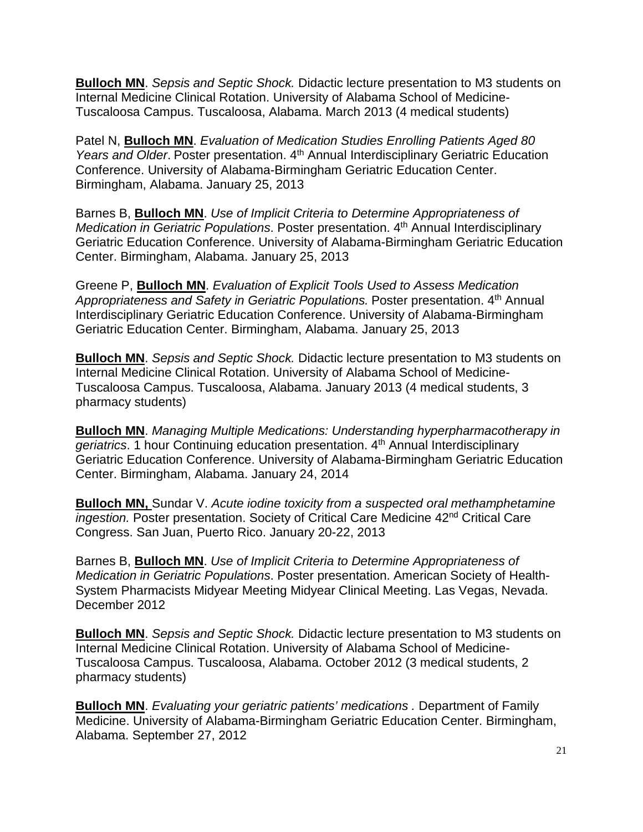**Bulloch MN**. *Sepsis and Septic Shock.* Didactic lecture presentation to M3 students on Internal Medicine Clinical Rotation. University of Alabama School of Medicine-Tuscaloosa Campus. Tuscaloosa, Alabama. March 2013 (4 medical students)

Patel N, **Bulloch MN**. *Evaluation of Medication Studies Enrolling Patients Aged 80*  Years and Older. Poster presentation. 4<sup>th</sup> Annual Interdisciplinary Geriatric Education Conference. University of Alabama-Birmingham Geriatric Education Center. Birmingham, Alabama. January 25, 2013

Barnes B, **Bulloch MN**. *Use of Implicit Criteria to Determine Appropriateness of Medication in Geriatric Populations*. Poster presentation. 4th Annual Interdisciplinary Geriatric Education Conference. University of Alabama-Birmingham Geriatric Education Center. Birmingham, Alabama. January 25, 2013

Greene P, **Bulloch MN**. *Evaluation of Explicit Tools Used to Assess Medication Appropriateness and Safety in Geriatric Populations.* Poster presentation. 4th Annual Interdisciplinary Geriatric Education Conference. University of Alabama-Birmingham Geriatric Education Center. Birmingham, Alabama. January 25, 2013

**Bulloch MN**. *Sepsis and Septic Shock.* Didactic lecture presentation to M3 students on Internal Medicine Clinical Rotation. University of Alabama School of Medicine-Tuscaloosa Campus. Tuscaloosa, Alabama. January 2013 (4 medical students, 3 pharmacy students)

**Bulloch MN**. *Managing Multiple Medications: Understanding hyperpharmacotherapy in geriatrics*. 1 hour Continuing education presentation. 4th Annual Interdisciplinary Geriatric Education Conference. University of Alabama-Birmingham Geriatric Education Center. Birmingham, Alabama. January 24, 2014

**Bulloch MN,** Sundar V. *Acute iodine toxicity from a suspected oral methamphetamine ingestion.* Poster presentation. Society of Critical Care Medicine 42<sup>nd</sup> Critical Care Congress. San Juan, Puerto Rico. January 20-22, 2013

Barnes B, **Bulloch MN**. *Use of Implicit Criteria to Determine Appropriateness of Medication in Geriatric Populations*. Poster presentation. American Society of Health-System Pharmacists Midyear Meeting Midyear Clinical Meeting. Las Vegas, Nevada. December 2012

**Bulloch MN**. *Sepsis and Septic Shock.* Didactic lecture presentation to M3 students on Internal Medicine Clinical Rotation. University of Alabama School of Medicine-Tuscaloosa Campus. Tuscaloosa, Alabama. October 2012 (3 medical students, 2 pharmacy students)

**Bulloch MN**. *Evaluating your geriatric patients' medications .* Department of Family Medicine. University of Alabama-Birmingham Geriatric Education Center. Birmingham, Alabama. September 27, 2012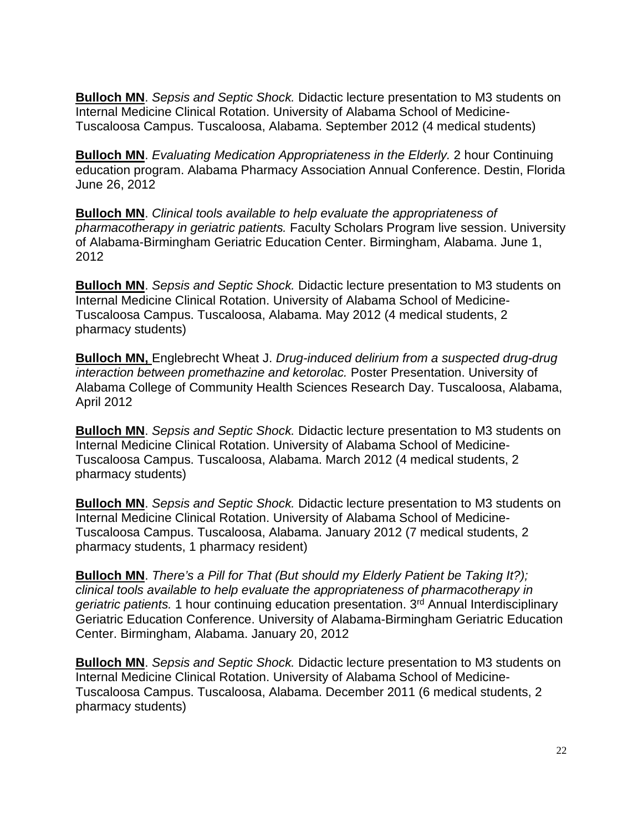**Bulloch MN**. *Sepsis and Septic Shock.* Didactic lecture presentation to M3 students on Internal Medicine Clinical Rotation. University of Alabama School of Medicine-Tuscaloosa Campus. Tuscaloosa, Alabama. September 2012 (4 medical students)

**Bulloch MN**. *Evaluating Medication Appropriateness in the Elderly.* 2 hour Continuing education program. Alabama Pharmacy Association Annual Conference. Destin, Florida June 26, 2012

**Bulloch MN**. *Clinical tools available to help evaluate the appropriateness of pharmacotherapy in geriatric patients.* Faculty Scholars Program live session. University of Alabama-Birmingham Geriatric Education Center. Birmingham, Alabama. June 1, 2012

**Bulloch MN**. *Sepsis and Septic Shock.* Didactic lecture presentation to M3 students on Internal Medicine Clinical Rotation. University of Alabama School of Medicine-Tuscaloosa Campus. Tuscaloosa, Alabama. May 2012 (4 medical students, 2 pharmacy students)

**Bulloch MN,** Englebrecht Wheat J. *Drug-induced delirium from a suspected drug-drug interaction between promethazine and ketorolac.* Poster Presentation. University of Alabama College of Community Health Sciences Research Day. Tuscaloosa, Alabama, April 2012

**Bulloch MN**. *Sepsis and Septic Shock.* Didactic lecture presentation to M3 students on Internal Medicine Clinical Rotation. University of Alabama School of Medicine-Tuscaloosa Campus. Tuscaloosa, Alabama. March 2012 (4 medical students, 2 pharmacy students)

**Bulloch MN**. *Sepsis and Septic Shock.* Didactic lecture presentation to M3 students on Internal Medicine Clinical Rotation. University of Alabama School of Medicine-Tuscaloosa Campus. Tuscaloosa, Alabama. January 2012 (7 medical students, 2 pharmacy students, 1 pharmacy resident)

**Bulloch MN**. *There's a Pill for That (But should my Elderly Patient be Taking It?); clinical tools available to help evaluate the appropriateness of pharmacotherapy in*  geriatric patients. 1 hour continuing education presentation. 3<sup>rd</sup> Annual Interdisciplinary Geriatric Education Conference. University of Alabama-Birmingham Geriatric Education Center. Birmingham, Alabama. January 20, 2012

**Bulloch MN**. *Sepsis and Septic Shock.* Didactic lecture presentation to M3 students on Internal Medicine Clinical Rotation. University of Alabama School of Medicine-Tuscaloosa Campus. Tuscaloosa, Alabama. December 2011 (6 medical students, 2 pharmacy students)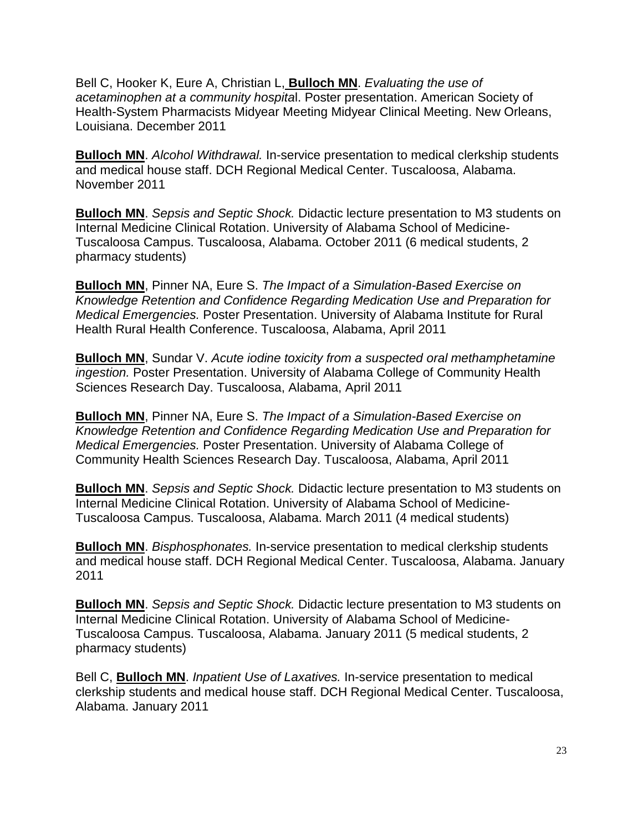Bell C, Hooker K, Eure A, Christian L, **Bulloch MN**. *Evaluating the use of acetaminophen at a community hospita*l. Poster presentation. American Society of Health-System Pharmacists Midyear Meeting Midyear Clinical Meeting. New Orleans, Louisiana. December 2011

**Bulloch MN**. *Alcohol Withdrawal.* In-service presentation to medical clerkship students and medical house staff. DCH Regional Medical Center. Tuscaloosa, Alabama. November 2011

**Bulloch MN**. *Sepsis and Septic Shock.* Didactic lecture presentation to M3 students on Internal Medicine Clinical Rotation. University of Alabama School of Medicine-Tuscaloosa Campus. Tuscaloosa, Alabama. October 2011 (6 medical students, 2 pharmacy students)

**Bulloch MN**, Pinner NA, Eure S. *The Impact of a Simulation-Based Exercise on Knowledge Retention and Confidence Regarding Medication Use and Preparation for Medical Emergencies.* Poster Presentation. University of Alabama Institute for Rural Health Rural Health Conference. Tuscaloosa, Alabama, April 2011

**Bulloch MN**, Sundar V. *Acute iodine toxicity from a suspected oral methamphetamine ingestion.* Poster Presentation. University of Alabama College of Community Health Sciences Research Day. Tuscaloosa, Alabama, April 2011

**Bulloch MN**, Pinner NA, Eure S. *The Impact of a Simulation-Based Exercise on Knowledge Retention and Confidence Regarding Medication Use and Preparation for Medical Emergencies.* Poster Presentation. University of Alabama College of Community Health Sciences Research Day. Tuscaloosa, Alabama, April 2011

**Bulloch MN**. *Sepsis and Septic Shock.* Didactic lecture presentation to M3 students on Internal Medicine Clinical Rotation. University of Alabama School of Medicine-Tuscaloosa Campus. Tuscaloosa, Alabama. March 2011 (4 medical students)

**Bulloch MN**. *Bisphosphonates.* In-service presentation to medical clerkship students and medical house staff. DCH Regional Medical Center. Tuscaloosa, Alabama. January 2011

**Bulloch MN**. *Sepsis and Septic Shock.* Didactic lecture presentation to M3 students on Internal Medicine Clinical Rotation. University of Alabama School of Medicine-Tuscaloosa Campus. Tuscaloosa, Alabama. January 2011 (5 medical students, 2 pharmacy students)

Bell C, **Bulloch MN**. *Inpatient Use of Laxatives.* In-service presentation to medical clerkship students and medical house staff. DCH Regional Medical Center. Tuscaloosa, Alabama. January 2011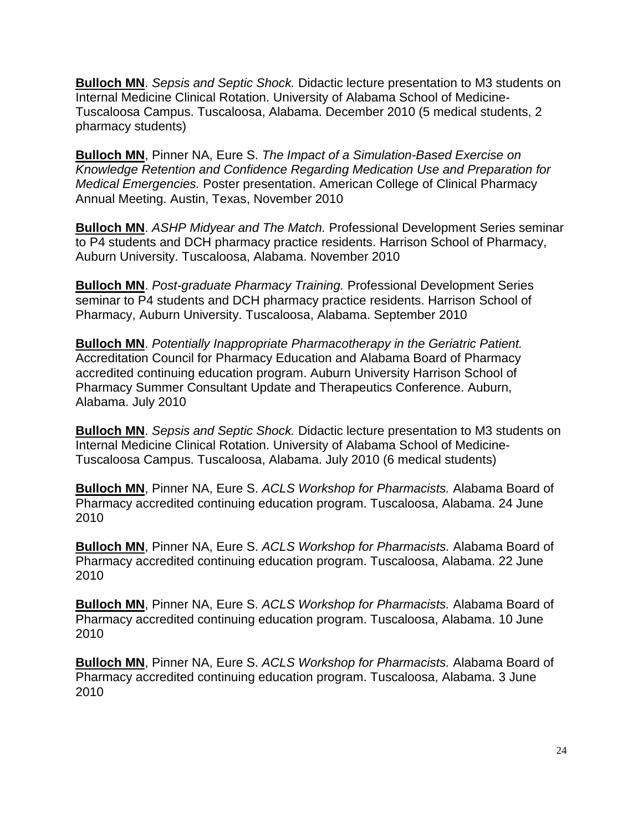**Bulloch MN**. *Sepsis and Septic Shock.* Didactic lecture presentation to M3 students on Internal Medicine Clinical Rotation. University of Alabama School of Medicine-Tuscaloosa Campus. Tuscaloosa, Alabama. December 2010 (5 medical students, 2 pharmacy students)

**Bulloch MN**, Pinner NA, Eure S. *The Impact of a Simulation-Based Exercise on Knowledge Retention and Confidence Regarding Medication Use and Preparation for Medical Emergencies.* Poster presentation. American College of Clinical Pharmacy Annual Meeting. Austin, Texas, November 2010

**Bulloch MN**. *ASHP Midyear and The Match.* Professional Development Series seminar to P4 students and DCH pharmacy practice residents. Harrison School of Pharmacy, Auburn University. Tuscaloosa, Alabama. November 2010

**Bulloch MN**. *Post-graduate Pharmacy Training.* Professional Development Series seminar to P4 students and DCH pharmacy practice residents. Harrison School of Pharmacy, Auburn University. Tuscaloosa, Alabama. September 2010

**Bulloch MN**. *Potentially Inappropriate Pharmacotherapy in the Geriatric Patient.*  Accreditation Council for Pharmacy Education and Alabama Board of Pharmacy accredited continuing education program. Auburn University Harrison School of Pharmacy Summer Consultant Update and Therapeutics Conference. Auburn, Alabama. July 2010

**Bulloch MN**. *Sepsis and Septic Shock.* Didactic lecture presentation to M3 students on Internal Medicine Clinical Rotation. University of Alabama School of Medicine-Tuscaloosa Campus. Tuscaloosa, Alabama. July 2010 (6 medical students)

**Bulloch MN**, Pinner NA, Eure S. *ACLS Workshop for Pharmacists.* Alabama Board of Pharmacy accredited continuing education program. Tuscaloosa, Alabama. 24 June 2010

**Bulloch MN**, Pinner NA, Eure S. *ACLS Workshop for Pharmacists.* Alabama Board of Pharmacy accredited continuing education program. Tuscaloosa, Alabama. 22 June 2010

**Bulloch MN**, Pinner NA, Eure S. *ACLS Workshop for Pharmacists.* Alabama Board of Pharmacy accredited continuing education program. Tuscaloosa, Alabama. 10 June 2010

**Bulloch MN**, Pinner NA, Eure S. *ACLS Workshop for Pharmacists.* Alabama Board of Pharmacy accredited continuing education program. Tuscaloosa, Alabama. 3 June 2010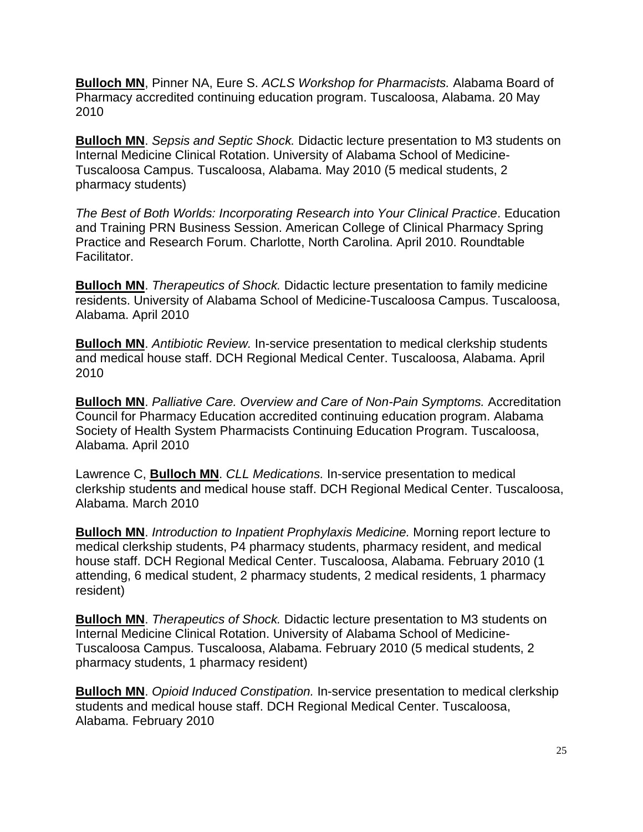**Bulloch MN**, Pinner NA, Eure S. *ACLS Workshop for Pharmacists.* Alabama Board of Pharmacy accredited continuing education program. Tuscaloosa, Alabama. 20 May 2010

**Bulloch MN**. *Sepsis and Septic Shock.* Didactic lecture presentation to M3 students on Internal Medicine Clinical Rotation. University of Alabama School of Medicine-Tuscaloosa Campus. Tuscaloosa, Alabama. May 2010 (5 medical students, 2 pharmacy students)

*The Best of Both Worlds: Incorporating Research into Your Clinical Practice*. Education and Training PRN Business Session. American College of Clinical Pharmacy Spring Practice and Research Forum. Charlotte, North Carolina. April 2010. Roundtable Facilitator.

**Bulloch MN**. *Therapeutics of Shock.* Didactic lecture presentation to family medicine residents. University of Alabama School of Medicine-Tuscaloosa Campus. Tuscaloosa, Alabama. April 2010

**Bulloch MN**. *Antibiotic Review.* In-service presentation to medical clerkship students and medical house staff. DCH Regional Medical Center. Tuscaloosa, Alabama. April 2010

**Bulloch MN**. *Palliative Care. Overview and Care of Non-Pain Symptoms.* Accreditation Council for Pharmacy Education accredited continuing education program. Alabama Society of Health System Pharmacists Continuing Education Program. Tuscaloosa, Alabama. April 2010

Lawrence C, **Bulloch MN**. *CLL Medications.* In-service presentation to medical clerkship students and medical house staff. DCH Regional Medical Center. Tuscaloosa, Alabama. March 2010

**Bulloch MN**. *Introduction to Inpatient Prophylaxis Medicine.* Morning report lecture to medical clerkship students, P4 pharmacy students, pharmacy resident, and medical house staff. DCH Regional Medical Center. Tuscaloosa, Alabama. February 2010 (1 attending, 6 medical student, 2 pharmacy students, 2 medical residents, 1 pharmacy resident)

**Bulloch MN**. *Therapeutics of Shock.* Didactic lecture presentation to M3 students on Internal Medicine Clinical Rotation. University of Alabama School of Medicine-Tuscaloosa Campus. Tuscaloosa, Alabama. February 2010 (5 medical students, 2 pharmacy students, 1 pharmacy resident)

**Bulloch MN**. *Opioid Induced Constipation.* In-service presentation to medical clerkship students and medical house staff. DCH Regional Medical Center. Tuscaloosa, Alabama. February 2010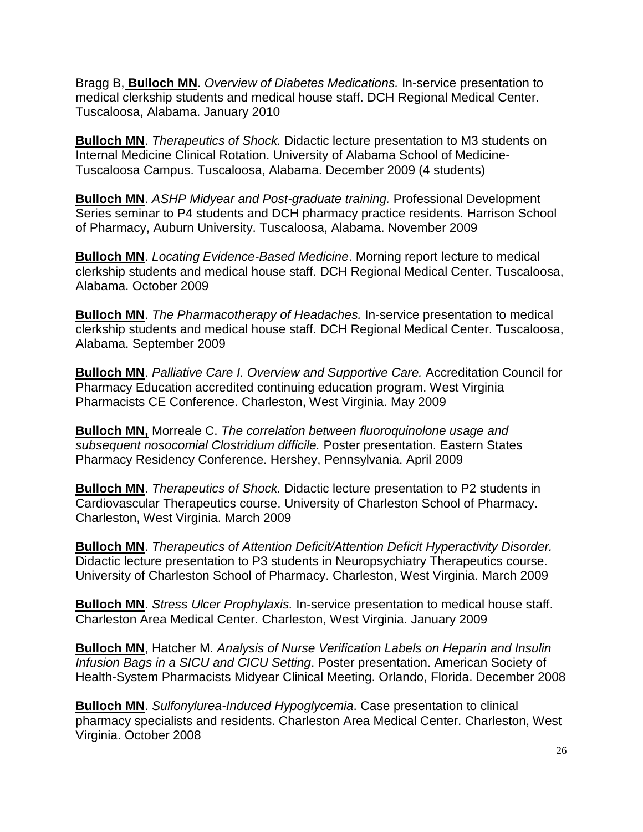Bragg B, **Bulloch MN**. *Overview of Diabetes Medications.* In-service presentation to medical clerkship students and medical house staff. DCH Regional Medical Center. Tuscaloosa, Alabama. January 2010

**Bulloch MN**. *Therapeutics of Shock.* Didactic lecture presentation to M3 students on Internal Medicine Clinical Rotation. University of Alabama School of Medicine-Tuscaloosa Campus. Tuscaloosa, Alabama. December 2009 (4 students)

**Bulloch MN**. *ASHP Midyear and Post-graduate training.* Professional Development Series seminar to P4 students and DCH pharmacy practice residents. Harrison School of Pharmacy, Auburn University. Tuscaloosa, Alabama. November 2009

**Bulloch MN**. *Locating Evidence-Based Medicine*. Morning report lecture to medical clerkship students and medical house staff. DCH Regional Medical Center. Tuscaloosa, Alabama. October 2009

**Bulloch MN**. *The Pharmacotherapy of Headaches.* In-service presentation to medical clerkship students and medical house staff. DCH Regional Medical Center. Tuscaloosa, Alabama. September 2009

**Bulloch MN**. *Palliative Care I. Overview and Supportive Care.* Accreditation Council for Pharmacy Education accredited continuing education program. West Virginia Pharmacists CE Conference. Charleston, West Virginia. May 2009

**Bulloch MN,** Morreale C. *The correlation between fluoroquinolone usage and subsequent nosocomial Clostridium difficile.* Poster presentation. Eastern States Pharmacy Residency Conference. Hershey, Pennsylvania. April 2009

**Bulloch MN**. *Therapeutics of Shock.* Didactic lecture presentation to P2 students in Cardiovascular Therapeutics course. University of Charleston School of Pharmacy. Charleston, West Virginia. March 2009

**Bulloch MN**. *Therapeutics of Attention Deficit/Attention Deficit Hyperactivity Disorder.* Didactic lecture presentation to P3 students in Neuropsychiatry Therapeutics course. University of Charleston School of Pharmacy. Charleston, West Virginia. March 2009

**Bulloch MN**. *Stress Ulcer Prophylaxis.* In-service presentation to medical house staff. Charleston Area Medical Center. Charleston, West Virginia. January 2009

**Bulloch MN**, Hatcher M. *Analysis of Nurse Verification Labels on Heparin and Insulin Infusion Bags in a SICU and CICU Setting*. Poster presentation. American Society of Health-System Pharmacists Midyear Clinical Meeting. Orlando, Florida. December 2008

**Bulloch MN**. *Sulfonylurea-Induced Hypoglycemia*. Case presentation to clinical pharmacy specialists and residents. Charleston Area Medical Center. Charleston, West Virginia. October 2008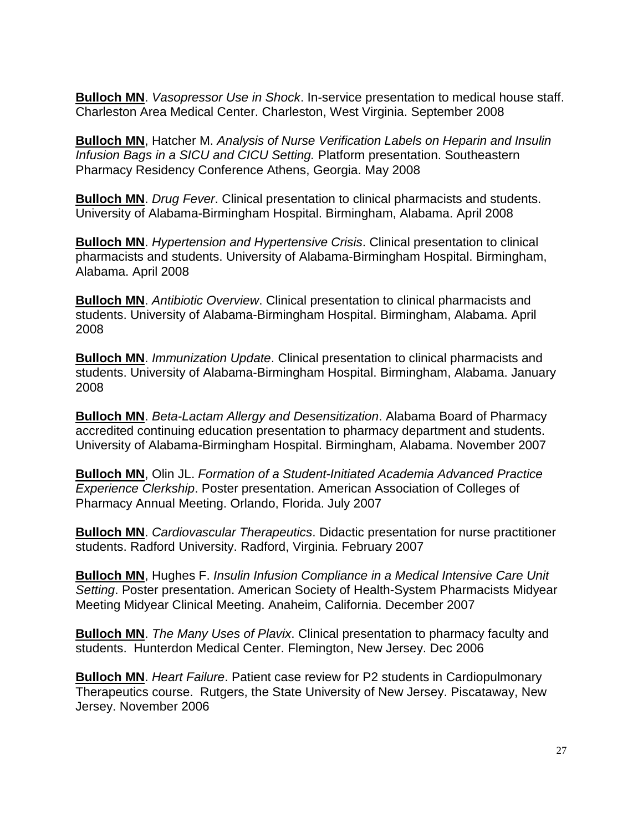**Bulloch MN**. *Vasopressor Use in Shock*. In-service presentation to medical house staff. Charleston Area Medical Center. Charleston, West Virginia. September 2008

**Bulloch MN**, Hatcher M. *Analysis of Nurse Verification Labels on Heparin and Insulin Infusion Bags in a SICU and CICU Setting.* Platform presentation. Southeastern Pharmacy Residency Conference Athens, Georgia. May 2008

**Bulloch MN**. *Drug Fever*. Clinical presentation to clinical pharmacists and students. University of Alabama-Birmingham Hospital. Birmingham, Alabama. April 2008

**Bulloch MN**. *Hypertension and Hypertensive Crisis*. Clinical presentation to clinical pharmacists and students. University of Alabama-Birmingham Hospital. Birmingham, Alabama. April 2008

**Bulloch MN**. *Antibiotic Overview*. Clinical presentation to clinical pharmacists and students. University of Alabama-Birmingham Hospital. Birmingham, Alabama. April 2008

**Bulloch MN**. *Immunization Update*. Clinical presentation to clinical pharmacists and students. University of Alabama-Birmingham Hospital. Birmingham, Alabama. January 2008

**Bulloch MN**. *Beta-Lactam Allergy and Desensitization*. Alabama Board of Pharmacy accredited continuing education presentation to pharmacy department and students. University of Alabama-Birmingham Hospital. Birmingham, Alabama. November 2007

**Bulloch MN**, Olin JL. *Formation of a Student-Initiated Academia Advanced Practice Experience Clerkship*. Poster presentation. American Association of Colleges of Pharmacy Annual Meeting. Orlando, Florida. July 2007

**Bulloch MN**. *Cardiovascular Therapeutics*. Didactic presentation for nurse practitioner students. Radford University. Radford, Virginia. February 2007

**Bulloch MN**, Hughes F. *Insulin Infusion Compliance in a Medical Intensive Care Unit Setting*. Poster presentation. American Society of Health-System Pharmacists Midyear Meeting Midyear Clinical Meeting. Anaheim, California. December 2007

**Bulloch MN**. *The Many Uses of Plavix*. Clinical presentation to pharmacy faculty and students. Hunterdon Medical Center. Flemington, New Jersey. Dec 2006

**Bulloch MN**. *Heart Failure*. Patient case review for P2 students in Cardiopulmonary Therapeutics course. Rutgers, the State University of New Jersey. Piscataway, New Jersey. November 2006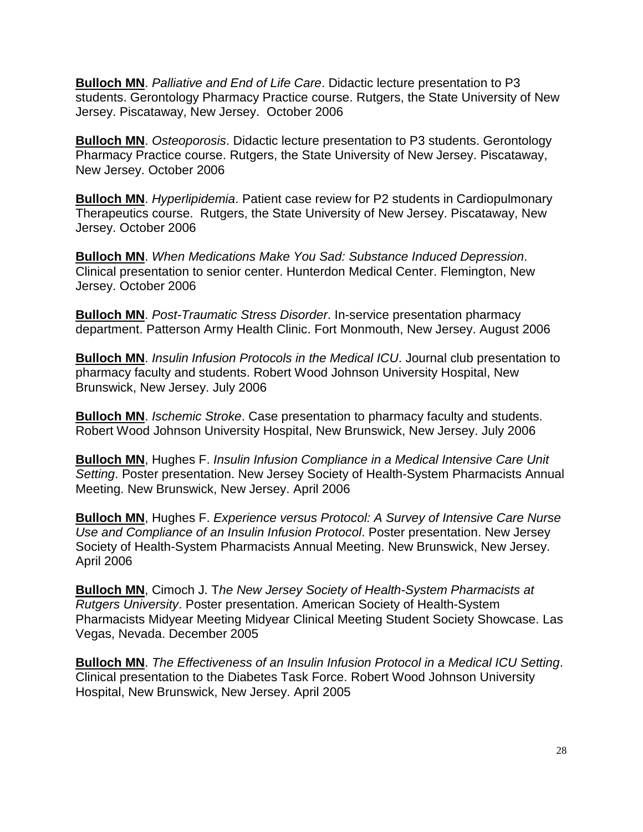**Bulloch MN**. *Palliative and End of Life Care*. Didactic lecture presentation to P3 students. Gerontology Pharmacy Practice course. Rutgers, the State University of New Jersey. Piscataway, New Jersey. October 2006

**Bulloch MN**. *Osteoporosis*. Didactic lecture presentation to P3 students. Gerontology Pharmacy Practice course. Rutgers, the State University of New Jersey. Piscataway, New Jersey. October 2006

**Bulloch MN**. *Hyperlipidemia*. Patient case review for P2 students in Cardiopulmonary Therapeutics course. Rutgers, the State University of New Jersey. Piscataway, New Jersey. October 2006

**Bulloch MN**. *When Medications Make You Sad: Substance Induced Depression*. Clinical presentation to senior center. Hunterdon Medical Center. Flemington, New Jersey. October 2006

**Bulloch MN**. *Post-Traumatic Stress Disorder*. In-service presentation pharmacy department. Patterson Army Health Clinic. Fort Monmouth, New Jersey. August 2006

**Bulloch MN**. *Insulin Infusion Protocols in the Medical ICU*. Journal club presentation to pharmacy faculty and students. Robert Wood Johnson University Hospital, New Brunswick, New Jersey. July 2006

**Bulloch MN**. *Ischemic Stroke*. Case presentation to pharmacy faculty and students. Robert Wood Johnson University Hospital, New Brunswick, New Jersey. July 2006

**Bulloch MN**, Hughes F. *Insulin Infusion Compliance in a Medical Intensive Care Unit Setting*. Poster presentation. New Jersey Society of Health-System Pharmacists Annual Meeting. New Brunswick, New Jersey. April 2006

**Bulloch MN**, Hughes F. *Experience versus Protocol: A Survey of Intensive Care Nurse Use and Compliance of an Insulin Infusion Protocol*. Poster presentation. New Jersey Society of Health-System Pharmacists Annual Meeting. New Brunswick, New Jersey. April 2006

**Bulloch MN**, Cimoch J. T*he New Jersey Society of Health-System Pharmacists at Rutgers University*. Poster presentation. American Society of Health-System Pharmacists Midyear Meeting Midyear Clinical Meeting Student Society Showcase. Las Vegas, Nevada. December 2005

**Bulloch MN**. *The Effectiveness of an Insulin Infusion Protocol in a Medical ICU Setting*. Clinical presentation to the Diabetes Task Force. Robert Wood Johnson University Hospital, New Brunswick, New Jersey. April 2005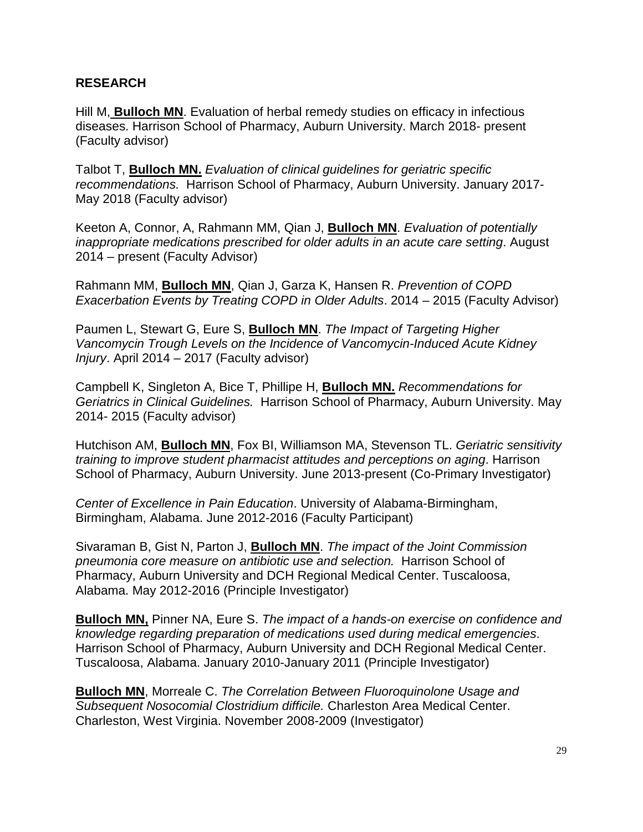#### **RESEARCH**

Hill M, **Bulloch MN**. Evaluation of herbal remedy studies on efficacy in infectious diseases. Harrison School of Pharmacy, Auburn University. March 2018- present (Faculty advisor)

Talbot T, **Bulloch MN.** *Evaluation of clinical guidelines for geriatric specific recommendations.* Harrison School of Pharmacy, Auburn University. January 2017- May 2018 (Faculty advisor)

Keeton A, Connor, A, Rahmann MM, Qian J, **Bulloch MN**. *Evaluation of potentially inappropriate medications prescribed for older adults in an acute care setting*. August 2014 – present (Faculty Advisor)

Rahmann MM, **Bulloch MN**, Qian J, Garza K, Hansen R. *Prevention of COPD Exacerbation Events by Treating COPD in Older Adults*. 2014 – 2015 (Faculty Advisor)

Paumen L, Stewart G, Eure S, **Bulloch MN**. *The Impact of Targeting Higher Vancomycin Trough Levels on the Incidence of Vancomycin-Induced Acute Kidney Injury*. April 2014 – 2017 (Faculty advisor)

Campbell K, Singleton A, Bice T, Phillipe H, **Bulloch MN.** *Recommendations for Geriatrics in Clinical Guidelines.* Harrison School of Pharmacy, Auburn University. May 2014- 2015 (Faculty advisor)

Hutchison AM, **Bulloch MN**, Fox BI, Williamson MA, Stevenson TL. *Geriatric sensitivity training to improve student pharmacist attitudes and perceptions on aging*. Harrison School of Pharmacy, Auburn University. June 2013-present (Co-Primary Investigator)

*Center of Excellence in Pain Education*. University of Alabama-Birmingham, Birmingham, Alabama. June 2012-2016 (Faculty Participant)

Sivaraman B, Gist N, Parton J, **Bulloch MN**. *The impact of the Joint Commission pneumonia core measure on antibiotic use and selection.* Harrison School of Pharmacy, Auburn University and DCH Regional Medical Center. Tuscaloosa, Alabama. May 2012-2016 (Principle Investigator)

**Bulloch MN,** Pinner NA, Eure S. *The impact of a hands-on exercise on confidence and knowledge regarding preparation of medications used during medical emergencies*. Harrison School of Pharmacy, Auburn University and DCH Regional Medical Center. Tuscaloosa, Alabama. January 2010-January 2011 (Principle Investigator)

**Bulloch MN**, Morreale C. *The Correlation Between Fluoroquinolone Usage and Subsequent Nosocomial Clostridium difficile.* Charleston Area Medical Center. Charleston, West Virginia. November 2008-2009 (Investigator)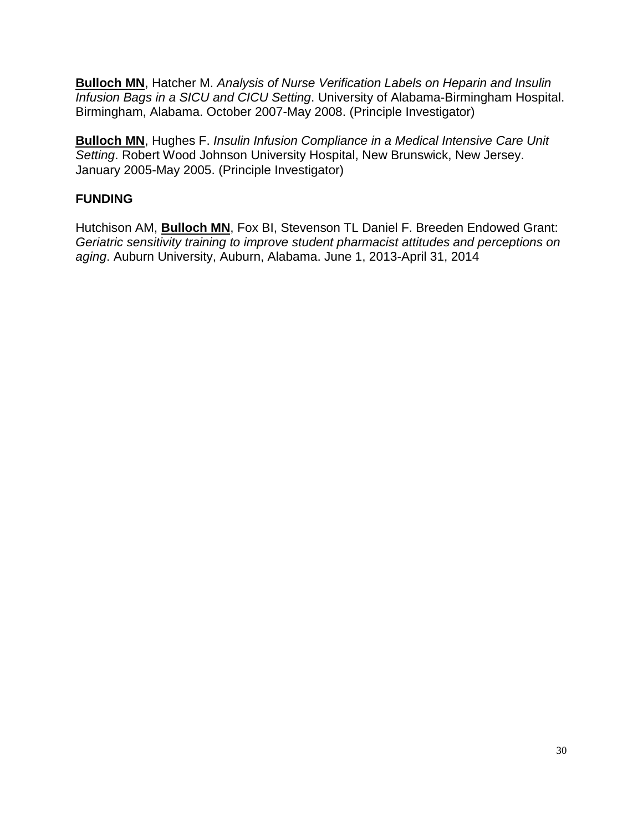**Bulloch MN**, Hatcher M. *Analysis of Nurse Verification Labels on Heparin and Insulin Infusion Bags in a SICU and CICU Setting*. University of Alabama-Birmingham Hospital. Birmingham, Alabama. October 2007-May 2008. (Principle Investigator)

**Bulloch MN**, Hughes F. *Insulin Infusion Compliance in a Medical Intensive Care Unit Setting*. Robert Wood Johnson University Hospital, New Brunswick, New Jersey. January 2005-May 2005. (Principle Investigator)

# **FUNDING**

Hutchison AM, **Bulloch MN**, Fox BI, Stevenson TL Daniel F. Breeden Endowed Grant: *Geriatric sensitivity training to improve student pharmacist attitudes and perceptions on aging*. Auburn University, Auburn, Alabama. June 1, 2013-April 31, 2014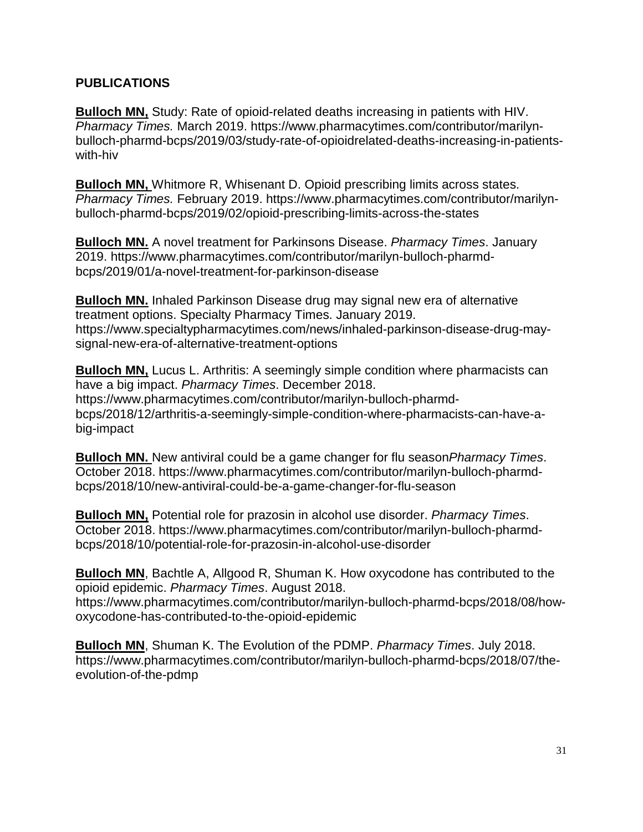#### **PUBLICATIONS**

**Bulloch MN,** Study: Rate of opioid-related deaths increasing in patients with HIV. *Pharmacy Times.* March 2019. https://www.pharmacytimes.com/contributor/marilynbulloch-pharmd-bcps/2019/03/study-rate-of-opioidrelated-deaths-increasing-in-patientswith-hiv

**Bulloch MN,** Whitmore R, Whisenant D. Opioid prescribing limits across states. *Pharmacy Times.* February 2019. https://www.pharmacytimes.com/contributor/marilynbulloch-pharmd-bcps/2019/02/opioid-prescribing-limits-across-the-states

**Bulloch MN.** A novel treatment for Parkinsons Disease. *Pharmacy Times*. January 2019. https://www.pharmacytimes.com/contributor/marilyn-bulloch-pharmdbcps/2019/01/a-novel-treatment-for-parkinson-disease

**Bulloch MN.** Inhaled Parkinson Disease drug may signal new era of alternative treatment options. Specialty Pharmacy Times. January 2019. https://www.specialtypharmacytimes.com/news/inhaled-parkinson-disease-drug-maysignal-new-era-of-alternative-treatment-options

**Bulloch MN,** Lucus L. Arthritis: A seemingly simple condition where pharmacists can have a big impact. *Pharmacy Times*. December 2018. https://www.pharmacytimes.com/contributor/marilyn-bulloch-pharmdbcps/2018/12/arthritis-a-seemingly-simple-condition-where-pharmacists-can-have-abig-impact

**Bulloch MN.** New antiviral could be a game changer for flu season*Pharmacy Times*. October 2018. https://www.pharmacytimes.com/contributor/marilyn-bulloch-pharmdbcps/2018/10/new-antiviral-could-be-a-game-changer-for-flu-season

**Bulloch MN,** Potential role for prazosin in alcohol use disorder. *Pharmacy Times*. October 2018. https://www.pharmacytimes.com/contributor/marilyn-bulloch-pharmdbcps/2018/10/potential-role-for-prazosin-in-alcohol-use-disorder

**Bulloch MN**, Bachtle A, Allgood R, Shuman K. How oxycodone has contributed to the opioid epidemic. *Pharmacy Times*. August 2018. https://www.pharmacytimes.com/contributor/marilyn-bulloch-pharmd-bcps/2018/08/howoxycodone-has-contributed-to-the-opioid-epidemic

**Bulloch MN**, Shuman K. The Evolution of the PDMP. *Pharmacy Times*. July 2018. https://www.pharmacytimes.com/contributor/marilyn-bulloch-pharmd-bcps/2018/07/theevolution-of-the-pdmp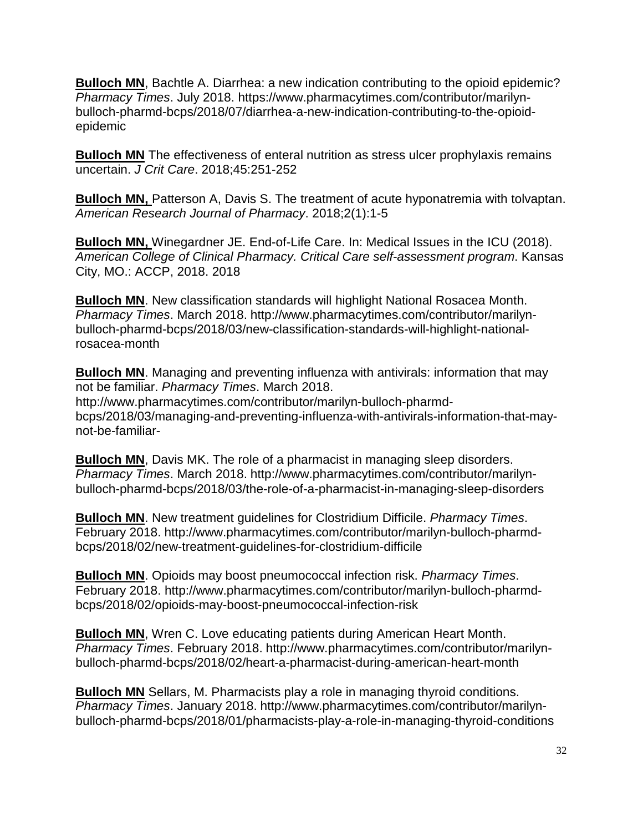**Bulloch MN**, Bachtle A. Diarrhea: a new indication contributing to the opioid epidemic? *Pharmacy Times*. July 2018. https://www.pharmacytimes.com/contributor/marilynbulloch-pharmd-bcps/2018/07/diarrhea-a-new-indication-contributing-to-the-opioidepidemic

**Bulloch MN** The effectiveness of enteral nutrition as stress ulcer prophylaxis remains uncertain. *J Crit Care*. 2018;45:251-252

**Bulloch MN,** Patterson A, Davis S. The treatment of acute hyponatremia with tolvaptan. *American Research Journal of Pharmacy*. 2018;2(1):1-5

**Bulloch MN,** Winegardner JE. End-of-Life Care. In: Medical Issues in the ICU (2018). *American College of Clinical Pharmacy. Critical Care self-assessment program*. Kansas City, MO.: ACCP, 2018. 2018

**Bulloch MN**. New classification standards will highlight National Rosacea Month. *Pharmacy Times*. March 2018. http://www.pharmacytimes.com/contributor/marilynbulloch-pharmd-bcps/2018/03/new-classification-standards-will-highlight-nationalrosacea-month

**Bulloch MN**. Managing and preventing influenza with antivirals: information that may not be familiar. *Pharmacy Times*. March 2018. http://www.pharmacytimes.com/contributor/marilyn-bulloch-pharmdbcps/2018/03/managing-and-preventing-influenza-with-antivirals-information-that-maynot-be-familiar-

**Bulloch MN**, Davis MK. The role of a pharmacist in managing sleep disorders. *Pharmacy Times*. March 2018. http://www.pharmacytimes.com/contributor/marilynbulloch-pharmd-bcps/2018/03/the-role-of-a-pharmacist-in-managing-sleep-disorders

**Bulloch MN**. New treatment guidelines for Clostridium Difficile. *Pharmacy Times*. February 2018. http://www.pharmacytimes.com/contributor/marilyn-bulloch-pharmdbcps/2018/02/new-treatment-guidelines-for-clostridium-difficile

**Bulloch MN**. Opioids may boost pneumococcal infection risk. *Pharmacy Times*. February 2018. http://www.pharmacytimes.com/contributor/marilyn-bulloch-pharmdbcps/2018/02/opioids-may-boost-pneumococcal-infection-risk

**Bulloch MN**, Wren C. Love educating patients during American Heart Month. *Pharmacy Times*. February 2018. http://www.pharmacytimes.com/contributor/marilynbulloch-pharmd-bcps/2018/02/heart-a-pharmacist-during-american-heart-month

**Bulloch MN** Sellars, M. Pharmacists play a role in managing thyroid conditions. *Pharmacy Times*. January 2018. http://www.pharmacytimes.com/contributor/marilynbulloch-pharmd-bcps/2018/01/pharmacists-play-a-role-in-managing-thyroid-conditions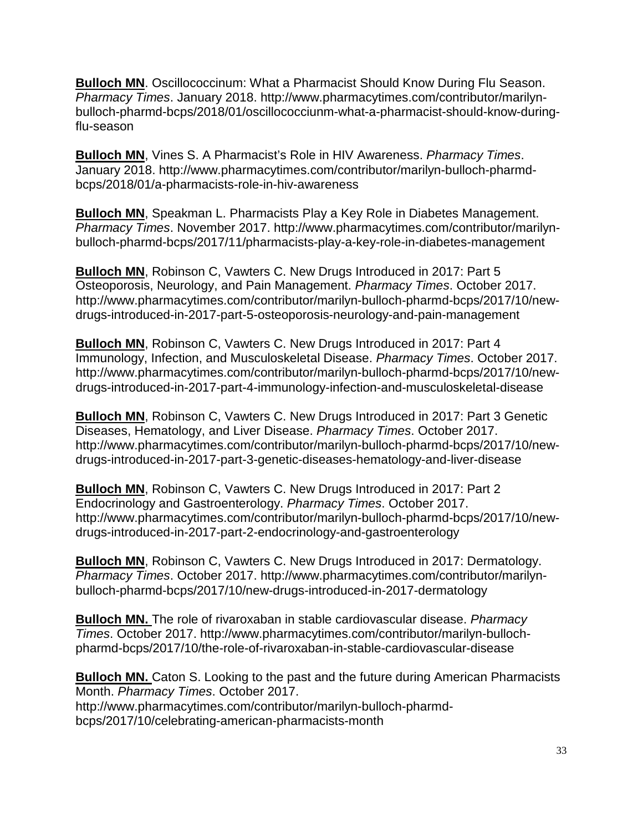**Bulloch MN**. Oscillococcinum: What a Pharmacist Should Know During Flu Season. *Pharmacy Times*. January 2018. http://www.pharmacytimes.com/contributor/marilynbulloch-pharmd-bcps/2018/01/oscillococciunm-what-a-pharmacist-should-know-duringflu-season

**Bulloch MN**, Vines S. A Pharmacist's Role in HIV Awareness. *Pharmacy Times*. January 2018. http://www.pharmacytimes.com/contributor/marilyn-bulloch-pharmdbcps/2018/01/a-pharmacists-role-in-hiv-awareness

**Bulloch MN**, Speakman L. Pharmacists Play a Key Role in Diabetes Management. *Pharmacy Times*. November 2017. http://www.pharmacytimes.com/contributor/marilynbulloch-pharmd-bcps/2017/11/pharmacists-play-a-key-role-in-diabetes-management

**Bulloch MN**, Robinson C, Vawters C. New Drugs Introduced in 2017: Part 5 Osteoporosis, Neurology, and Pain Management. *Pharmacy Times*. October 2017. http://www.pharmacytimes.com/contributor/marilyn-bulloch-pharmd-bcps/2017/10/newdrugs-introduced-in-2017-part-5-osteoporosis-neurology-and-pain-management

**Bulloch MN**, Robinson C, Vawters C. New Drugs Introduced in 2017: Part 4 Immunology, Infection, and Musculoskeletal Disease. *Pharmacy Times*. October 2017. http://www.pharmacytimes.com/contributor/marilyn-bulloch-pharmd-bcps/2017/10/newdrugs-introduced-in-2017-part-4-immunology-infection-and-musculoskeletal-disease

**Bulloch MN**, Robinson C, Vawters C. New Drugs Introduced in 2017: Part 3 Genetic Diseases, Hematology, and Liver Disease. *Pharmacy Times*. October 2017. http://www.pharmacytimes.com/contributor/marilyn-bulloch-pharmd-bcps/2017/10/newdrugs-introduced-in-2017-part-3-genetic-diseases-hematology-and-liver-disease

**Bulloch MN**, Robinson C, Vawters C. New Drugs Introduced in 2017: Part 2 Endocrinology and Gastroenterology. *Pharmacy Times*. October 2017. http://www.pharmacytimes.com/contributor/marilyn-bulloch-pharmd-bcps/2017/10/newdrugs-introduced-in-2017-part-2-endocrinology-and-gastroenterology

**Bulloch MN**, Robinson C, Vawters C. New Drugs Introduced in 2017: Dermatology. *Pharmacy Times*. October 2017. http://www.pharmacytimes.com/contributor/marilynbulloch-pharmd-bcps/2017/10/new-drugs-introduced-in-2017-dermatology

**Bulloch MN.** The role of rivaroxaban in stable cardiovascular disease. *Pharmacy Times*. October 2017. http://www.pharmacytimes.com/contributor/marilyn-bullochpharmd-bcps/2017/10/the-role-of-rivaroxaban-in-stable-cardiovascular-disease

**Bulloch MN.** Caton S. Looking to the past and the future during American Pharmacists Month. *Pharmacy Times*. October 2017. http://www.pharmacytimes.com/contributor/marilyn-bulloch-pharmdbcps/2017/10/celebrating-american-pharmacists-month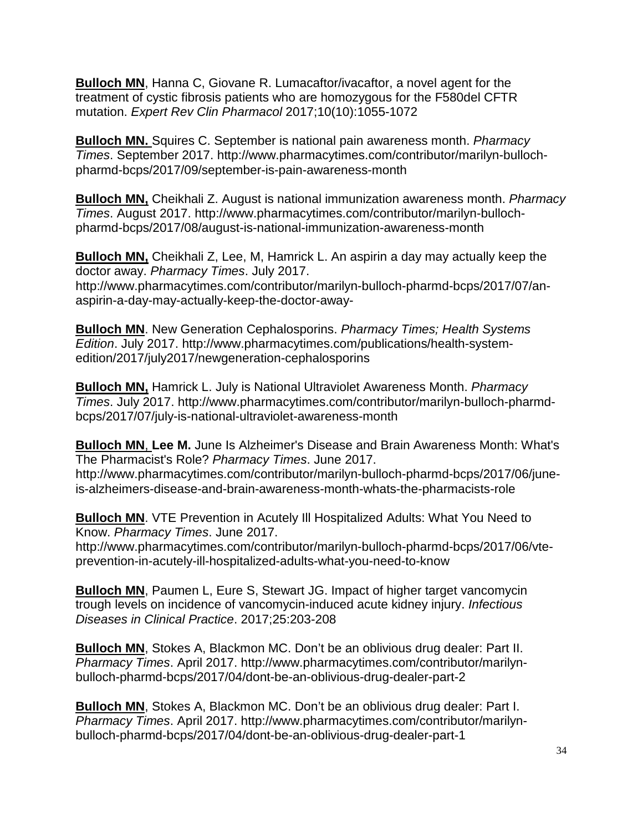**Bulloch MN**, Hanna C, Giovane R. Lumacaftor/ivacaftor, a novel agent for the treatment of cystic fibrosis patients who are homozygous for the F580del CFTR mutation. *Expert Rev Clin Pharmacol* 2017;10(10):1055-1072

**Bulloch MN.** Squires C. September is national pain awareness month. *Pharmacy Times*. September 2017. http://www.pharmacytimes.com/contributor/marilyn-bullochpharmd-bcps/2017/09/september-is-pain-awareness-month

**Bulloch MN,** Cheikhali Z. August is national immunization awareness month. *Pharmacy Times*. August 2017. http://www.pharmacytimes.com/contributor/marilyn-bullochpharmd-bcps/2017/08/august-is-national-immunization-awareness-month

**Bulloch MN,** Cheikhali Z, Lee, M, Hamrick L. An aspirin a day may actually keep the doctor away. *Pharmacy Times*. July 2017. http://www.pharmacytimes.com/contributor/marilyn-bulloch-pharmd-bcps/2017/07/anaspirin-a-day-may-actually-keep-the-doctor-away-

**Bulloch MN**. New Generation Cephalosporins. *Pharmacy Times; Health Systems Edition*. July 2017. http://www.pharmacytimes.com/publications/health-systemedition/2017/july2017/newgeneration-cephalosporins

**Bulloch MN,** Hamrick L. July is National Ultraviolet Awareness Month. *Pharmacy Times*. July 2017. http://www.pharmacytimes.com/contributor/marilyn-bulloch-pharmdbcps/2017/07/july-is-national-ultraviolet-awareness-month

**Bulloch MN**, **Lee M.** June Is Alzheimer's Disease and Brain Awareness Month: What's The Pharmacist's Role? *Pharmacy Times*. June 2017. http://www.pharmacytimes.com/contributor/marilyn-bulloch-pharmd-bcps/2017/06/juneis-alzheimers-disease-and-brain-awareness-month-whats-the-pharmacists-role

**Bulloch MN**. VTE Prevention in Acutely Ill Hospitalized Adults: What You Need to Know. *Pharmacy Times*. June 2017.

http://www.pharmacytimes.com/contributor/marilyn-bulloch-pharmd-bcps/2017/06/vteprevention-in-acutely-ill-hospitalized-adults-what-you-need-to-know

**Bulloch MN**, Paumen L, Eure S, Stewart JG. Impact of higher target vancomycin trough levels on incidence of vancomycin-induced acute kidney injury. *Infectious Diseases in Clinical Practice*. 2017;25:203-208

**Bulloch MN**, Stokes A, Blackmon MC. Don't be an oblivious drug dealer: Part II. *Pharmacy Times*. April 2017. http://www.pharmacytimes.com/contributor/marilynbulloch-pharmd-bcps/2017/04/dont-be-an-oblivious-drug-dealer-part-2

**Bulloch MN**, Stokes A, Blackmon MC. Don't be an oblivious drug dealer: Part I. *Pharmacy Times*. April 2017. http://www.pharmacytimes.com/contributor/marilynbulloch-pharmd-bcps/2017/04/dont-be-an-oblivious-drug-dealer-part-1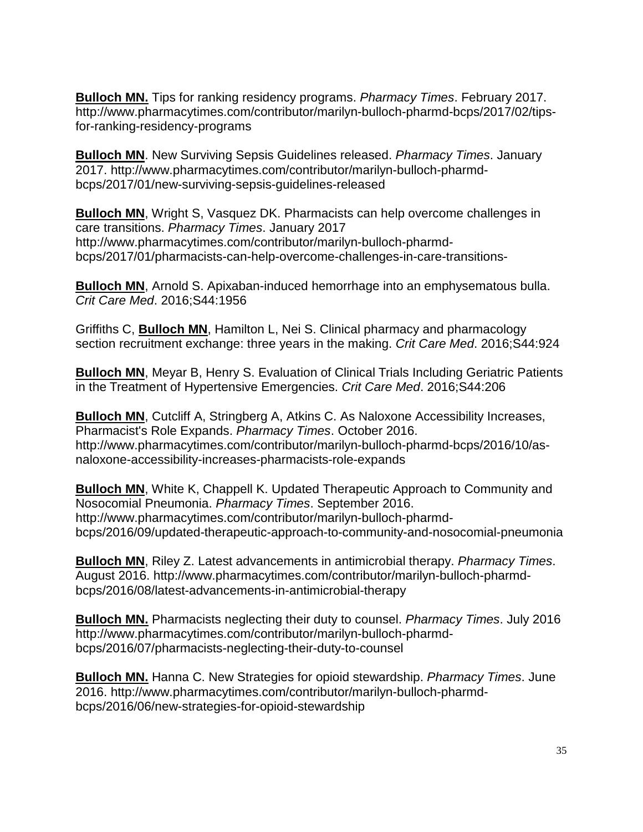**Bulloch MN.** Tips for ranking residency programs. *Pharmacy Times*. February 2017. http://www.pharmacytimes.com/contributor/marilyn-bulloch-pharmd-bcps/2017/02/tipsfor-ranking-residency-programs

**Bulloch MN**. New Surviving Sepsis Guidelines released. *Pharmacy Times*. January 2017. http://www.pharmacytimes.com/contributor/marilyn-bulloch-pharmdbcps/2017/01/new-surviving-sepsis-guidelines-released

**Bulloch MN**, Wright S, Vasquez DK. Pharmacists can help overcome challenges in care transitions. *Pharmacy Times*. January 2017 http://www.pharmacytimes.com/contributor/marilyn-bulloch-pharmdbcps/2017/01/pharmacists-can-help-overcome-challenges-in-care-transitions-

**Bulloch MN**, Arnold S. Apixaban-induced hemorrhage into an emphysematous bulla. *Crit Care Med*. 2016;S44:1956

Griffiths C, **Bulloch MN**, Hamilton L, Nei S. Clinical pharmacy and pharmacology section recruitment exchange: three years in the making. *Crit Care Med*. 2016;S44:924

**Bulloch MN**, Meyar B, Henry S. Evaluation of Clinical Trials Including Geriatric Patients in the Treatment of Hypertensive Emergencies. *Crit Care Med*. 2016;S44:206

**Bulloch MN**, Cutcliff A, Stringberg A, Atkins C. As Naloxone Accessibility Increases, Pharmacist's Role Expands. *Pharmacy Times*. October 2016. http://www.pharmacytimes.com/contributor/marilyn-bulloch-pharmd-bcps/2016/10/asnaloxone-accessibility-increases-pharmacists-role-expands

**Bulloch MN**, White K, Chappell K. Updated Therapeutic Approach to Community and Nosocomial Pneumonia. *Pharmacy Times*. September 2016. http://www.pharmacytimes.com/contributor/marilyn-bulloch-pharmdbcps/2016/09/updated-therapeutic-approach-to-community-and-nosocomial-pneumonia

**Bulloch MN**, Riley Z. Latest advancements in antimicrobial therapy. *Pharmacy Times*. August 2016. http://www.pharmacytimes.com/contributor/marilyn-bulloch-pharmdbcps/2016/08/latest-advancements-in-antimicrobial-therapy

**Bulloch MN.** Pharmacists neglecting their duty to counsel. *Pharmacy Times*. July 2016 http://www.pharmacytimes.com/contributor/marilyn-bulloch-pharmdbcps/2016/07/pharmacists-neglecting-their-duty-to-counsel

**Bulloch MN.** Hanna C. New Strategies for opioid stewardship. *Pharmacy Times*. June 2016. http://www.pharmacytimes.com/contributor/marilyn-bulloch-pharmdbcps/2016/06/new-strategies-for-opioid-stewardship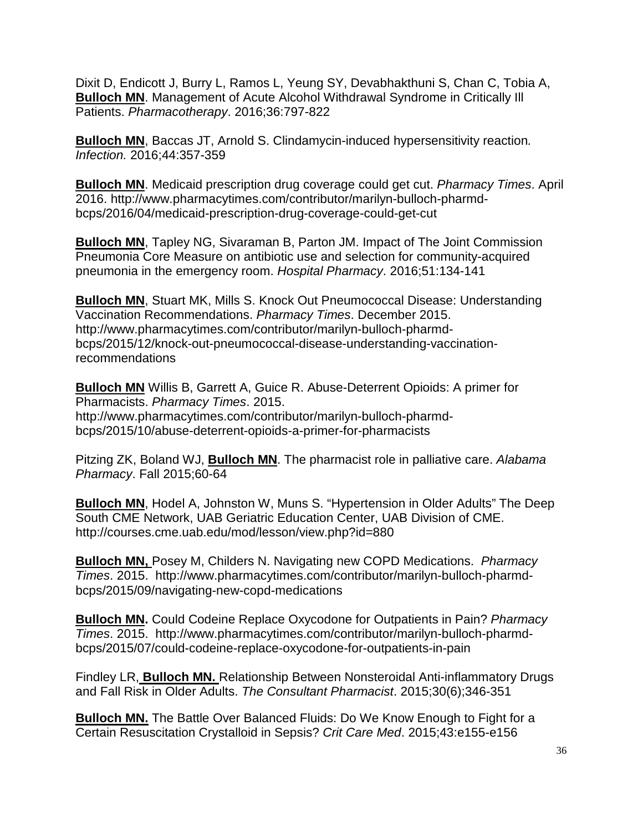Dixit D, Endicott J, Burry L, Ramos L, Yeung SY, Devabhakthuni S, Chan C, Tobia A, **Bulloch MN.** Management of Acute Alcohol Withdrawal Syndrome in Critically III Patients. *Pharmacotherapy*. 2016;36:797-822

**Bulloch MN**, Baccas JT, Arnold S. Clindamycin-induced hypersensitivity reaction*. Infection.* 2016;44:357-359

**Bulloch MN**. Medicaid prescription drug coverage could get cut. *Pharmacy Times*. April 2016. http://www.pharmacytimes.com/contributor/marilyn-bulloch-pharmdbcps/2016/04/medicaid-prescription-drug-coverage-could-get-cut

**Bulloch MN**, Tapley NG, Sivaraman B, Parton JM. Impact of The Joint Commission Pneumonia Core Measure on antibiotic use and selection for community-acquired pneumonia in the emergency room. *Hospital Pharmacy*. 2016;51:134-141

**Bulloch MN**, Stuart MK, Mills S. Knock Out Pneumococcal Disease: Understanding Vaccination Recommendations. *Pharmacy Times*. December 2015. http://www.pharmacytimes.com/contributor/marilyn-bulloch-pharmdbcps/2015/12/knock-out-pneumococcal-disease-understanding-vaccinationrecommendations

**Bulloch MN** Willis B, Garrett A, Guice R. Abuse-Deterrent Opioids: A primer for Pharmacists. *Pharmacy Times*. 2015. http://www.pharmacytimes.com/contributor/marilyn-bulloch-pharmdbcps/2015/10/abuse-deterrent-opioids-a-primer-for-pharmacists

Pitzing ZK, Boland WJ, **Bulloch MN**. The pharmacist role in palliative care. *Alabama Pharmacy*. Fall 2015;60-64

**Bulloch MN**, Hodel A, Johnston W, Muns S. "Hypertension in Older Adults" The Deep South CME Network, UAB Geriatric Education Center, UAB Division of CME. http://courses.cme.uab.edu/mod/lesson/view.php?id=880

**Bulloch MN,** Posey M, Childers N. Navigating new COPD Medications. *Pharmacy Times*. 2015. http://www.pharmacytimes.com/contributor/marilyn-bulloch-pharmdbcps/2015/09/navigating-new-copd-medications

**Bulloch MN.** Could Codeine Replace Oxycodone for Outpatients in Pain? *Pharmacy Times*. 2015. http://www.pharmacytimes.com/contributor/marilyn-bulloch-pharmdbcps/2015/07/could-codeine-replace-oxycodone-for-outpatients-in-pain

Findley LR, **Bulloch MN.** Relationship Between Nonsteroidal Anti-inflammatory Drugs and Fall Risk in Older Adults. *The Consultant Pharmacist*. 2015;30(6);346-351

**Bulloch MN.** The Battle Over Balanced Fluids: Do We Know Enough to Fight for a Certain Resuscitation Crystalloid in Sepsis? *Crit Care Med*. 2015;43:e155-e156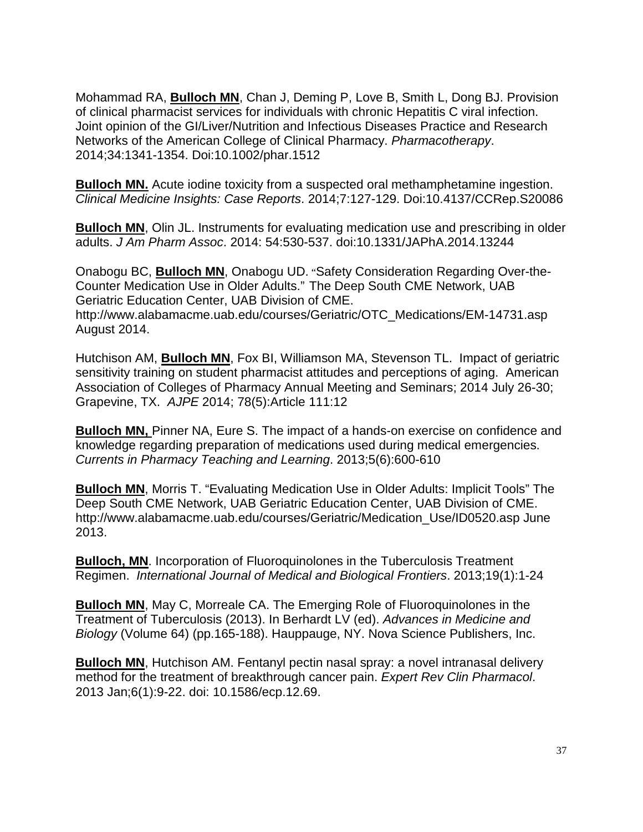Mohammad RA, **Bulloch MN**, Chan J, Deming P, Love B, Smith L, Dong BJ. Provision of clinical pharmacist services for individuals with chronic Hepatitis C viral infection. Joint opinion of the GI/Liver/Nutrition and Infectious Diseases Practice and Research Networks of the American College of Clinical Pharmacy. *Pharmacotherapy*. 2014;34:1341-1354. Doi:10.1002/phar.1512

**Bulloch MN.** Acute iodine toxicity from a suspected oral methamphetamine ingestion. *Clinical Medicine Insights: Case Reports*. 2014;7:127-129. Doi:10.4137/CCRep.S20086

**Bulloch MN**, Olin JL. Instruments for evaluating medication use and prescribing in older adults. *J Am Pharm Assoc*. 2014: 54:530-537. doi:10.1331/JAPhA.2014.13244

Onabogu BC, **Bulloch MN**, Onabogu UD. "Safety Consideration Regarding Over-the-Counter Medication Use in Older Adults." The Deep South CME Network, UAB Geriatric Education Center, UAB Division of CME.

http://www.alabamacme.uab.edu/courses/Geriatric/OTC\_Medications/EM-14731.asp August 2014.

Hutchison AM, **Bulloch MN**, Fox BI, Williamson MA, Stevenson TL. Impact of geriatric sensitivity training on student pharmacist attitudes and perceptions of aging. American Association of Colleges of Pharmacy Annual Meeting and Seminars; 2014 July 26-30; Grapevine, TX. *AJPE* 2014; 78(5):Article 111:12

**Bulloch MN,** Pinner NA, Eure S. The impact of a hands-on exercise on confidence and knowledge regarding preparation of medications used during medical emergencies. *Currents in Pharmacy Teaching and Learning*. 2013;5(6):600-610

**Bulloch MN**, Morris T. "Evaluating Medication Use in Older Adults: Implicit Tools" The Deep South CME Network, UAB Geriatric Education Center, UAB Division of CME. http://www.alabamacme.uab.edu/courses/Geriatric/Medication\_Use/ID0520.asp June 2013.

**Bulloch, MN**. Incorporation of Fluoroquinolones in the Tuberculosis Treatment Regimen. *International Journal of Medical and Biological Frontiers*. 2013;19(1):1-24

**Bulloch MN**, May C, Morreale CA. The Emerging Role of Fluoroquinolones in the Treatment of Tuberculosis (2013). In Berhardt LV (ed). *Advances in Medicine and Biology* (Volume 64) (pp.165-188). Hauppauge, NY. Nova Science Publishers, Inc.

**Bulloch MN**, Hutchison AM. Fentanyl pectin nasal spray: a novel intranasal delivery method for the treatment of breakthrough cancer pain. *Expert Rev Clin Pharmacol*. 2013 Jan;6(1):9-22. doi: 10.1586/ecp.12.69.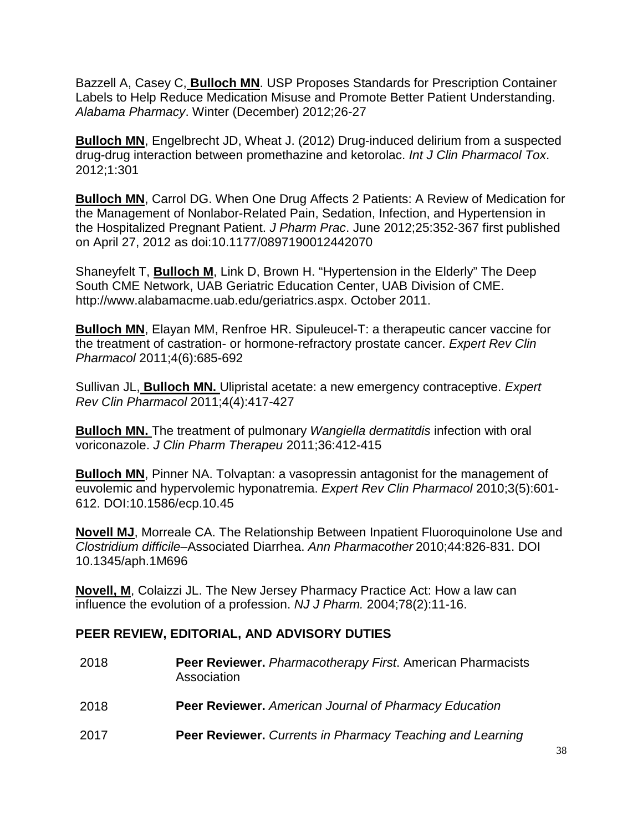Bazzell A, Casey C, **Bulloch MN**. USP Proposes Standards for Prescription Container Labels to Help Reduce Medication Misuse and Promote Better Patient Understanding. *Alabama Pharmacy*. Winter (December) 2012;26-27

**Bulloch MN**, Engelbrecht JD, Wheat J. (2012) Drug-induced delirium from a suspected drug-drug interaction between promethazine and ketorolac. *Int J Clin Pharmacol Tox*. 2012;1:301

**Bulloch MN**, Carrol DG. When One Drug Affects 2 Patients: A Review of Medication for the Management of Nonlabor-Related Pain, Sedation, Infection, and Hypertension in the Hospitalized Pregnant Patient. *J Pharm Prac*. June 2012;25:352-367 first published on April 27, 2012 as doi:10.1177/0897190012442070

Shaneyfelt T, **Bulloch M**, Link D, Brown H. "Hypertension in the Elderly" The Deep South CME Network, UAB Geriatric Education Center, UAB Division of CME. http://www.alabamacme.uab.edu/geriatrics.aspx. October 2011.

**Bulloch MN**, Elayan MM, Renfroe HR. Sipuleucel-T: a therapeutic cancer vaccine for the treatment of castration- or hormone-refractory prostate cancer. *Expert Rev Clin Pharmacol* 2011;4(6):685-692

Sullivan JL, **Bulloch MN.** Ulipristal acetate: a new emergency contraceptive. *Expert Rev Clin Pharmacol* 2011;4(4):417-427

**Bulloch MN.** The treatment of pulmonary *Wangiella dermatitdis* infection with oral voriconazole. *J Clin Pharm Therapeu* 2011;36:412-415

**Bulloch MN**, Pinner NA. Tolvaptan: a vasopressin antagonist for the management of euvolemic and hypervolemic hyponatremia. *Expert Rev Clin Pharmacol* 2010;3(5):601- 612. DOI:10.1586/ecp.10.45

**Novell MJ**, Morreale CA. The Relationship Between Inpatient Fluoroquinolone Use and *Clostridium difficile*–Associated Diarrhea. *Ann Pharmacother* 2010;44:826-831. DOI 10.1345/aph.1M696

**Novell, M**, Colaizzi JL. The New Jersey Pharmacy Practice Act: How a law can influence the evolution of a profession. *NJ J Pharm.* 2004;78(2):11-16.

# **PEER REVIEW, EDITORIAL, AND ADVISORY DUTIES**

| 2018 | <b>Peer Reviewer.</b> Pharmacotherapy First. American Pharmacists<br>Association |
|------|----------------------------------------------------------------------------------|
| 2018 | <b>Peer Reviewer.</b> American Journal of Pharmacy Education                     |
| 2017 | <b>Peer Reviewer.</b> Currents in Pharmacy Teaching and Learning                 |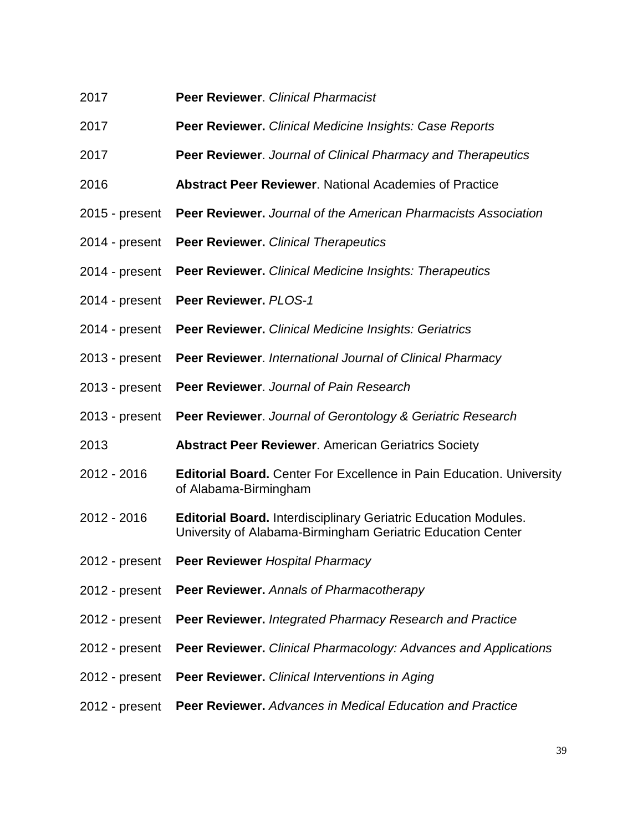- 2017 **Peer Reviewer**. *Clinical Pharmacist*
- 2017 **Peer Reviewer.** *Clinical Medicine Insights: Case Reports*
- 2017 **Peer Reviewer**. *Journal of Clinical Pharmacy and Therapeutics*
- 2016 **Abstract Peer Reviewer**. National Academies of Practice
- 2015 present **Peer Reviewer.** *Journal of the American Pharmacists Association*
- 2014 present **Peer Reviewer.** *Clinical Therapeutics*
- 2014 present **Peer Reviewer.** *Clinical Medicine Insights: Therapeutics*
- 2014 present **Peer Reviewer.** *PLOS-1*
- 2014 present **Peer Reviewer.** *Clinical Medicine Insights: Geriatrics*
- 2013 present **Peer Reviewer**. *International Journal of Clinical Pharmacy*
- 2013 present **Peer Reviewer**. *Journal of Pain Research*
- 2013 present **Peer Reviewer**. *Journal of Gerontology & Geriatric Research*
- 2013 **Abstract Peer Reviewer**. American Geriatrics Society
- 2012 2016 **Editorial Board.** Center For Excellence in Pain Education. University of Alabama-Birmingham
- 2012 2016 **Editorial Board.** Interdisciplinary Geriatric Education Modules. University of Alabama-Birmingham Geriatric Education Center
- 2012 present **Peer Reviewer** *Hospital Pharmacy*
- 2012 present **Peer Reviewer.** *Annals of Pharmacotherapy*
- 2012 present **Peer Reviewer.** *Integrated Pharmacy Research and Practice*
- 2012 present **Peer Reviewer.** *Clinical Pharmacology: Advances and Applications*
- 2012 present **Peer Reviewer.** *Clinical Interventions in Aging*
- 2012 present **Peer Reviewer.** *Advances in Medical Education and Practice*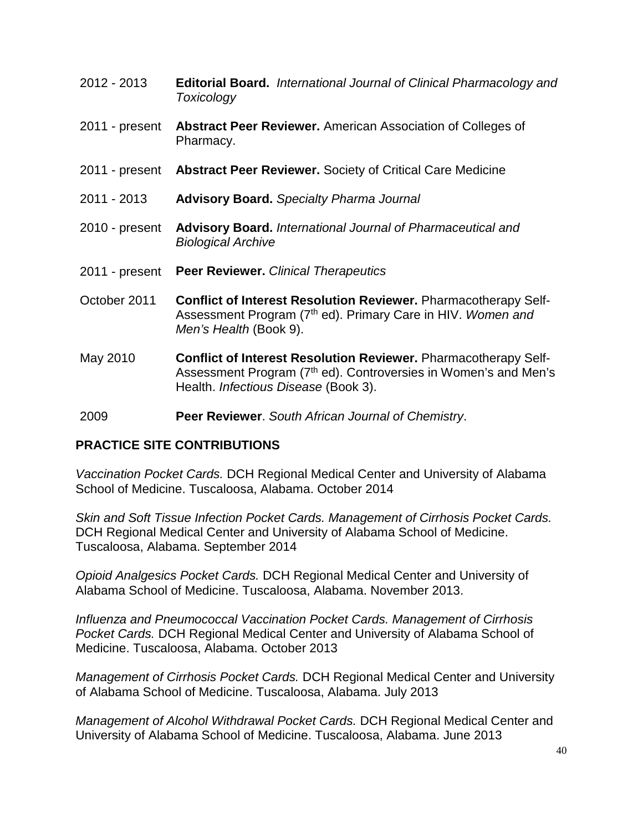- 2012 2013 **Editorial Board.** *International Journal of Clinical Pharmacology and Toxicology*
- 2011 present **Abstract Peer Reviewer.** American Association of Colleges of Pharmacy.
- 2011 present **Abstract Peer Reviewer.** Society of Critical Care Medicine
- 2011 2013 **Advisory Board.** *Specialty Pharma Journal*
- 2010 present **Advisory Board.** *International Journal of Pharmaceutical and Biological Archive*
- 2011 present **Peer Reviewer.** *Clinical Therapeutics*
- October 2011 **Conflict of Interest Resolution Reviewer.** Pharmacotherapy Self-Assessment Program (7th ed). Primary Care in HIV. *Women and Men's Health* (Book 9).
- May 2010 **Conflict of Interest Resolution Reviewer.** Pharmacotherapy Self-Assessment Program (7<sup>th</sup> ed). Controversies in Women's and Men's Health. *Infectious Disease* (Book 3).
- 2009 **Peer Reviewer**. *South African Journal of Chemistry*.

# **PRACTICE SITE CONTRIBUTIONS**

*Vaccination Pocket Cards.* DCH Regional Medical Center and University of Alabama School of Medicine. Tuscaloosa, Alabama. October 2014

*Skin and Soft Tissue Infection Pocket Cards. Management of Cirrhosis Pocket Cards.*  DCH Regional Medical Center and University of Alabama School of Medicine. Tuscaloosa, Alabama. September 2014

*Opioid Analgesics Pocket Cards.* DCH Regional Medical Center and University of Alabama School of Medicine. Tuscaloosa, Alabama. November 2013.

*Influenza and Pneumococcal Vaccination Pocket Cards. Management of Cirrhosis Pocket Cards.* DCH Regional Medical Center and University of Alabama School of Medicine. Tuscaloosa, Alabama. October 2013

*Management of Cirrhosis Pocket Cards.* DCH Regional Medical Center and University of Alabama School of Medicine. Tuscaloosa, Alabama. July 2013

*Management of Alcohol Withdrawal Pocket Cards.* DCH Regional Medical Center and University of Alabama School of Medicine. Tuscaloosa, Alabama. June 2013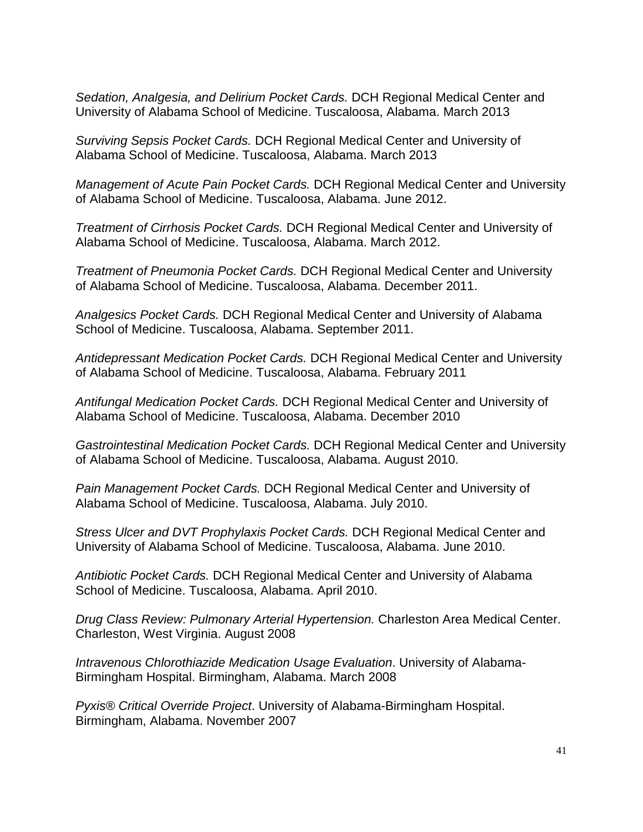*Sedation, Analgesia, and Delirium Pocket Cards.* DCH Regional Medical Center and University of Alabama School of Medicine. Tuscaloosa, Alabama. March 2013

*Surviving Sepsis Pocket Cards.* DCH Regional Medical Center and University of Alabama School of Medicine. Tuscaloosa, Alabama. March 2013

*Management of Acute Pain Pocket Cards.* DCH Regional Medical Center and University of Alabama School of Medicine. Tuscaloosa, Alabama. June 2012.

*Treatment of Cirrhosis Pocket Cards.* DCH Regional Medical Center and University of Alabama School of Medicine. Tuscaloosa, Alabama. March 2012.

*Treatment of Pneumonia Pocket Cards.* DCH Regional Medical Center and University of Alabama School of Medicine. Tuscaloosa, Alabama. December 2011.

*Analgesics Pocket Cards.* DCH Regional Medical Center and University of Alabama School of Medicine. Tuscaloosa, Alabama. September 2011.

*Antidepressant Medication Pocket Cards.* DCH Regional Medical Center and University of Alabama School of Medicine. Tuscaloosa, Alabama. February 2011

*Antifungal Medication Pocket Cards.* DCH Regional Medical Center and University of Alabama School of Medicine. Tuscaloosa, Alabama. December 2010

*Gastrointestinal Medication Pocket Cards.* DCH Regional Medical Center and University of Alabama School of Medicine. Tuscaloosa, Alabama. August 2010.

*Pain Management Pocket Cards.* DCH Regional Medical Center and University of Alabama School of Medicine. Tuscaloosa, Alabama. July 2010.

*Stress Ulcer and DVT Prophylaxis Pocket Cards.* DCH Regional Medical Center and University of Alabama School of Medicine. Tuscaloosa, Alabama. June 2010.

*Antibiotic Pocket Cards.* DCH Regional Medical Center and University of Alabama School of Medicine. Tuscaloosa, Alabama. April 2010.

*Drug Class Review: Pulmonary Arterial Hypertension.* Charleston Area Medical Center. Charleston, West Virginia. August 2008

*Intravenous Chlorothiazide Medication Usage Evaluation*. University of Alabama-Birmingham Hospital. Birmingham, Alabama. March 2008

*Pyxis® Critical Override Project*. University of Alabama-Birmingham Hospital. Birmingham, Alabama. November 2007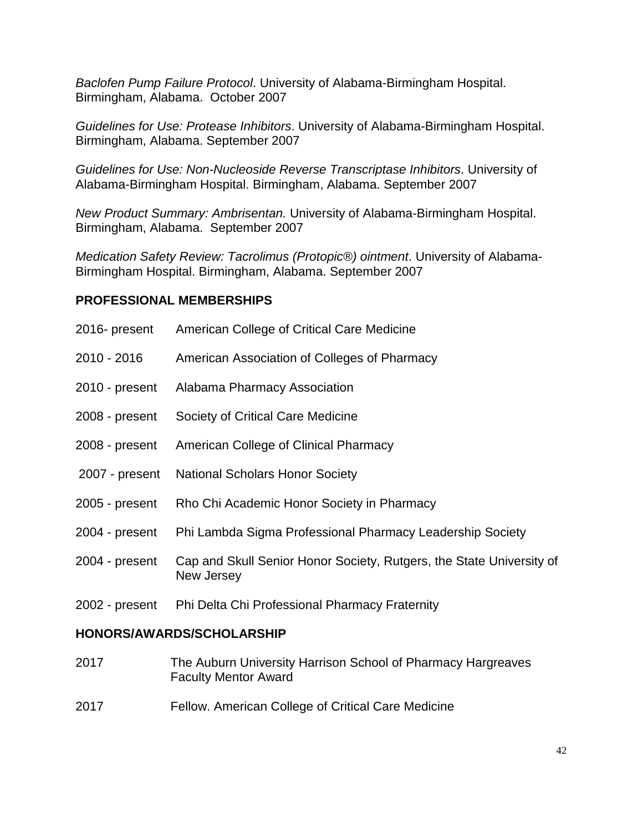*Baclofen Pump Failure Protocol*. University of Alabama-Birmingham Hospital. Birmingham, Alabama. October 2007

*Guidelines for Use: Protease Inhibitors*. University of Alabama-Birmingham Hospital. Birmingham, Alabama. September 2007

*Guidelines for Use: Non-Nucleoside Reverse Transcriptase Inhibitors*. University of Alabama-Birmingham Hospital. Birmingham, Alabama. September 2007

*New Product Summary: Ambrisentan.* University of Alabama-Birmingham Hospital. Birmingham, Alabama. September 2007

*Medication Safety Review: Tacrolimus (Protopic®) ointment*. University of Alabama-Birmingham Hospital. Birmingham, Alabama. September 2007

#### **PROFESSIONAL MEMBERSHIPS**

| 2016- present                 | American College of Critical Care Medicine                                         |
|-------------------------------|------------------------------------------------------------------------------------|
| 2010 - 2016                   | American Association of Colleges of Pharmacy                                       |
| 2010 - present                | Alabama Pharmacy Association                                                       |
| 2008 - present                | Society of Critical Care Medicine                                                  |
| 2008 - present                | American College of Clinical Pharmacy                                              |
| 2007 - present                | <b>National Scholars Honor Society</b>                                             |
| 2005 - present                | Rho Chi Academic Honor Society in Pharmacy                                         |
| 2004 - present                | Phi Lambda Sigma Professional Pharmacy Leadership Society                          |
| 2004 - present                | Cap and Skull Senior Honor Society, Rutgers, the State University of<br>New Jersey |
| 2002 - present                | Phi Delta Chi Professional Pharmacy Fraternity                                     |
| LIANADA/AWADDA/AALIAL ADALIIR |                                                                                    |

#### **HONORS/AWARDS/SCHOLARSHIP**

- 2017 The Auburn University Harrison School of Pharmacy Hargreaves Faculty Mentor Award
- 2017 Fellow. American College of Critical Care Medicine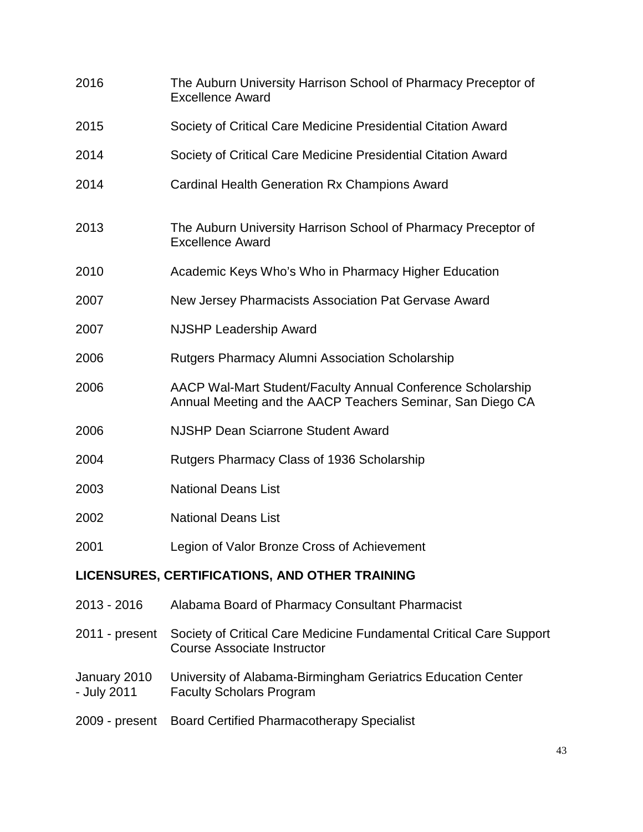| 2016                        | The Auburn University Harrison School of Pharmacy Preceptor of<br><b>Excellence Award</b>                                 |
|-----------------------------|---------------------------------------------------------------------------------------------------------------------------|
| 2015                        | Society of Critical Care Medicine Presidential Citation Award                                                             |
| 2014                        | Society of Critical Care Medicine Presidential Citation Award                                                             |
| 2014                        | <b>Cardinal Health Generation Rx Champions Award</b>                                                                      |
| 2013                        | The Auburn University Harrison School of Pharmacy Preceptor of<br><b>Excellence Award</b>                                 |
| 2010                        | Academic Keys Who's Who in Pharmacy Higher Education                                                                      |
| 2007                        | New Jersey Pharmacists Association Pat Gervase Award                                                                      |
| 2007                        | <b>NJSHP Leadership Award</b>                                                                                             |
| 2006                        | <b>Rutgers Pharmacy Alumni Association Scholarship</b>                                                                    |
| 2006                        | AACP Wal-Mart Student/Faculty Annual Conference Scholarship<br>Annual Meeting and the AACP Teachers Seminar, San Diego CA |
| 2006                        | <b>NJSHP Dean Sciarrone Student Award</b>                                                                                 |
| 2004                        | Rutgers Pharmacy Class of 1936 Scholarship                                                                                |
| 2003                        | <b>National Deans List</b>                                                                                                |
| 2002                        | <b>National Deans List</b>                                                                                                |
| 2001                        | Legion of Valor Bronze Cross of Achievement                                                                               |
|                             | LICENSURES, CERTIFICATIONS, AND OTHER TRAINING                                                                            |
| 2013 - 2016                 | Alabama Board of Pharmacy Consultant Pharmacist                                                                           |
| 2011 - present              | Society of Critical Care Medicine Fundamental Critical Care Support<br><b>Course Associate Instructor</b>                 |
| January 2010<br>- July 2011 | University of Alabama-Birmingham Geriatrics Education Center<br><b>Faculty Scholars Program</b>                           |
| 2009 - present              | <b>Board Certified Pharmacotherapy Specialist</b>                                                                         |